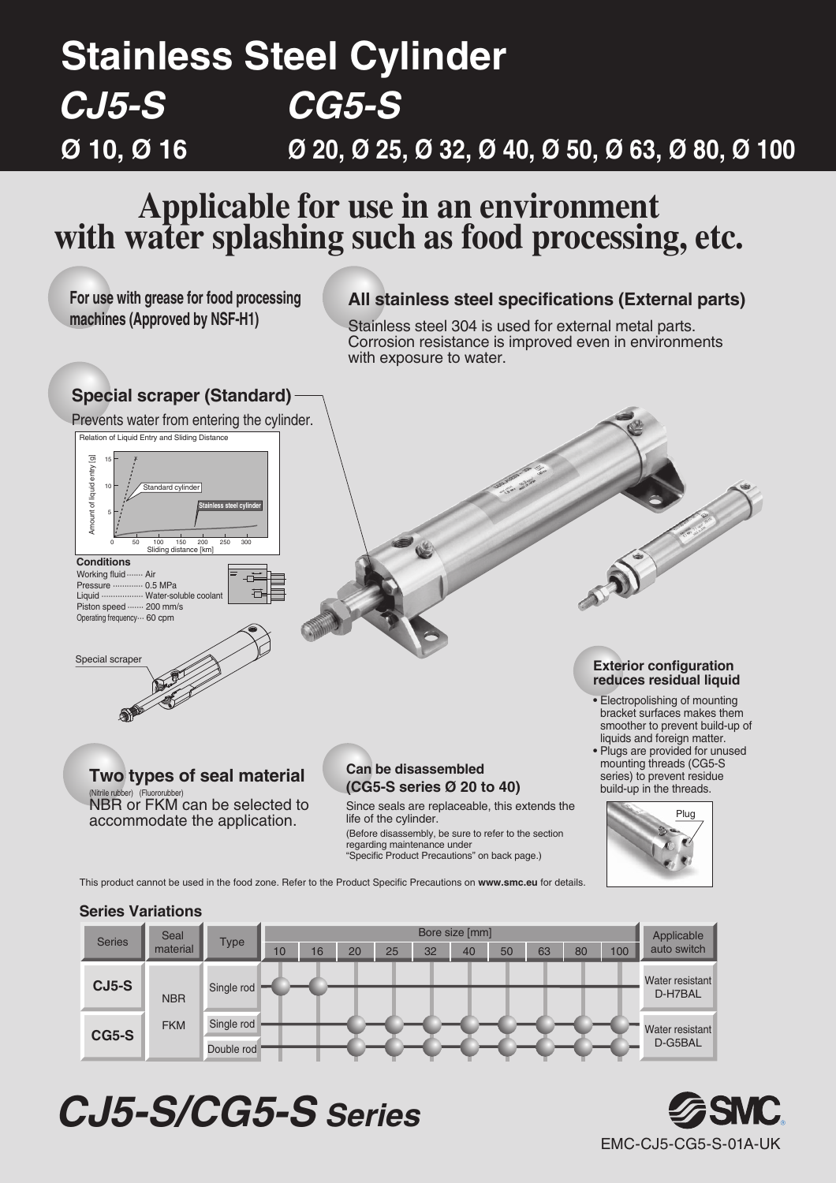## *CJ5-S*  **Stainless Steel Cylinder Ø 10, Ø 16** *CG5-S*  **Ø 20, Ø 25, Ø 32, Ø 40, Ø 50, Ø 63, Ø 80, Ø 100**

# **Applicable for use in an environment with water splashing such as food processing, etc.**



This product cannot be used in the food zone. Refer to the Product Specific Precautions on **www.smc.eu** for details.

#### **Series Variations**

*CJ5-S/CG5-S Series*



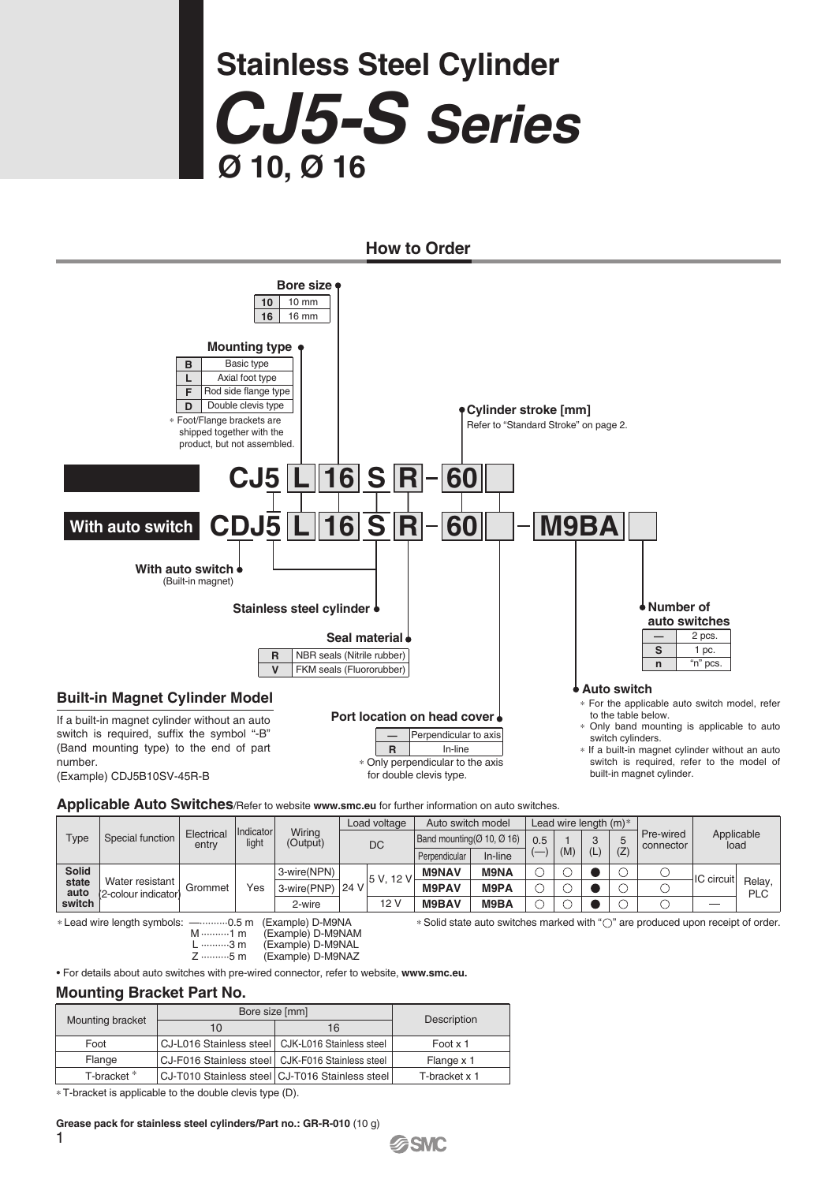# *CJ5-S Series* **Ø 10, Ø 16 Stainless Steel Cylinder**



#### **Applicable Auto Switches**/Refer to website **www.smc.eu** for further information on auto switches.

|               |                                                     |                     |                    |                    |      | Load voltage | Auto switch model              |             |     | Lead wire length $(m)$ * |          |     |                        |                    |                      |
|---------------|-----------------------------------------------------|---------------------|--------------------|--------------------|------|--------------|--------------------------------|-------------|-----|--------------------------|----------|-----|------------------------|--------------------|----------------------|
| Type          | Special function                                    | Electrical<br>entrv | Indicator<br>light | Wiring<br>(Output) |      | DC           | Band mounting $(0, 10, 0, 16)$ |             | 0.5 |                          | $\Omega$ | G   | Pre-wired<br>connector | Applicable<br>load |                      |
|               |                                                     |                     |                    |                    |      |              | Perpendicular                  | In-line     | $-$ | (M)                      | (L)      | (Z) |                        |                    |                      |
| <b>Solid</b>  |                                                     |                     |                    | 3-wire(NPN)        |      | 5 V. 12 V    | <b>M9NAV</b>                   | <b>M9NA</b> |     |                          |          |     |                        | IC circuit         |                      |
| state<br>auto | Water resistant<br><sup>t</sup> 2-colour indicator) | Grommet             | Yes                | 3-wire(PNP)        | 24 V |              | <b>M9PAV</b>                   | M9PA        |     |                          |          |     |                        |                    | Relay,<br><b>PLC</b> |
| switch        |                                                     |                     |                    | 2-wire             |      | 12V          | <b>M9BAV</b>                   | M9BA        |     |                          |          |     |                        |                    |                      |

**SSMC** 

∗ Lead wire length symbols: —··········0.5 m (Example) D-M9NA

∗ Solid state auto switches marked with " " are produced upon receipt of order.

- M ··········1 m (Example) D-M9NAM<br>L ··········3 m (Example) D-M9NAL
- L ··········3 m (Example) D-M9NAL<br>7 ··········5 m (Example) D-M9NAZ (Example) D-M9NAZ

• For details about auto switches with pre-wired connector, refer to website, **www.smc.eu.**

#### **Mounting Bracket Part No.**

|                  | Bore size [mm]                                     |                                                   | Description   |
|------------------|----------------------------------------------------|---------------------------------------------------|---------------|
| Mounting bracket | 10                                                 | 16                                                |               |
| Foot             | CJ-L016 Stainless steel   CJK-L016 Stainless steel |                                                   | Foot x 1      |
| Flange           | CJ-F016 Stainless steel   CJK-F016 Stainless steel |                                                   | Flange x 1    |
| T-bracket*       |                                                    | CJ-T010 Stainless steel   CJ-T016 Stainless steel | T-bracket x 1 |

∗ T-bracket is applicable to the double clevis type (D).

#### **Grease pack for stainless steel cylinders/Part no.: GR-R-010** (10 g)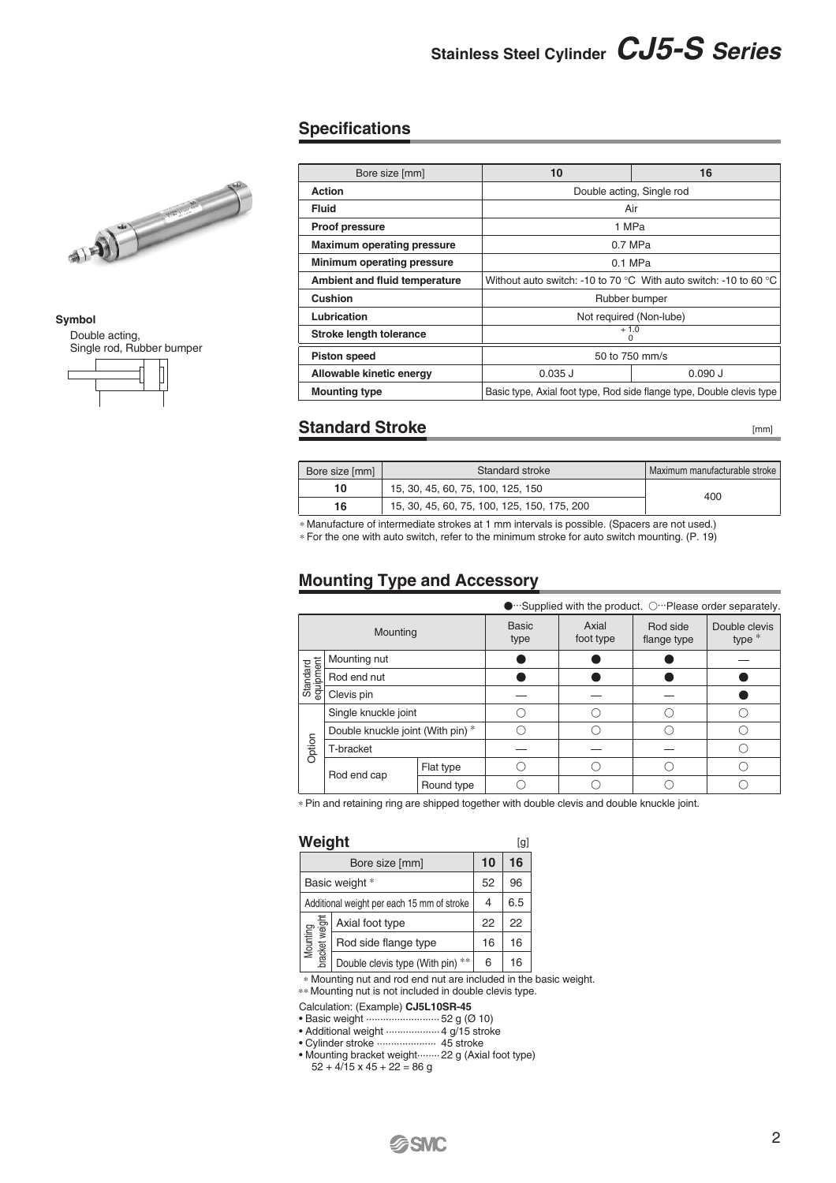#### **Specifications**

|             | œ<br><b>Program Street</b><br><b>STANY</b> |
|-------------|--------------------------------------------|
| $\triangle$ |                                            |

#### **Symbol**

Double acting, Single rod, Rubber bumper



| Bore size [mm]                    | 10                                                               | 16                                                                    |  |  |  |  |  |  |
|-----------------------------------|------------------------------------------------------------------|-----------------------------------------------------------------------|--|--|--|--|--|--|
| <b>Action</b>                     |                                                                  | Double acting, Single rod                                             |  |  |  |  |  |  |
| Fluid                             |                                                                  | Air                                                                   |  |  |  |  |  |  |
| <b>Proof pressure</b>             | 1 MPa                                                            |                                                                       |  |  |  |  |  |  |
| <b>Maximum operating pressure</b> | $0.7$ MPa                                                        |                                                                       |  |  |  |  |  |  |
| Minimum operating pressure        | $0.1$ MPa                                                        |                                                                       |  |  |  |  |  |  |
| Ambient and fluid temperature     | Without auto switch: -10 to 70 °C With auto switch: -10 to 60 °C |                                                                       |  |  |  |  |  |  |
| Cushion                           |                                                                  | Rubber bumper                                                         |  |  |  |  |  |  |
| Lubrication                       |                                                                  | Not required (Non-lube)                                               |  |  |  |  |  |  |
| <b>Stroke length tolerance</b>    | $+1.0$                                                           |                                                                       |  |  |  |  |  |  |
| <b>Piston speed</b>               |                                                                  | 50 to 750 mm/s                                                        |  |  |  |  |  |  |
| Allowable kinetic energy          | $0.035$ J                                                        | 0.090 J                                                               |  |  |  |  |  |  |
| <b>Mounting type</b>              |                                                                  | Basic type, Axial foot type, Rod side flange type, Double clevis type |  |  |  |  |  |  |

#### **Standard Stroke**

[mm]

| Bore size [mm] | Standard stroke                             | Maximum manufacturable stroke |
|----------------|---------------------------------------------|-------------------------------|
| 10             | 15, 30, 45, 60, 75, 100, 125, 150           | 400                           |
| 16             | 15, 30, 45, 60, 75, 100, 125, 150, 175, 200 |                               |

∗ Manufacture of intermediate strokes at 1 mm intervals is possible. (Spacers are not used.)

∗ For the one with auto switch, refer to the minimum stroke for auto switch mounting. (P. 19)

#### **Mounting Type and Accessory**

|                      |                                   |            |                      |                    |                         | $\bullet$ "Supplied with the product. $\circ$ "Please order separately. |
|----------------------|-----------------------------------|------------|----------------------|--------------------|-------------------------|-------------------------------------------------------------------------|
|                      | Mounting                          |            | <b>Basic</b><br>type | Axial<br>foot type | Rod side<br>flange type | Double clevis<br>type $*$                                               |
|                      | Mounting nut                      |            |                      |                    |                         |                                                                         |
| hemdinbe<br>Standard | Rod end nut                       |            |                      |                    |                         |                                                                         |
|                      | Clevis pin                        |            |                      |                    |                         |                                                                         |
|                      | Single knuckle joint              |            |                      |                    |                         |                                                                         |
|                      | Double knuckle joint (With pin) * |            |                      |                    |                         |                                                                         |
| Option               | T-bracket                         |            |                      |                    |                         |                                                                         |
|                      | Rod end cap                       | Flat type  |                      |                    |                         |                                                                         |
|                      |                                   | Round type |                      |                    |                         |                                                                         |

∗ Pin and retaining ring are shipped together with double clevis and double knuckle joint.

[g]

#### **10** 52 4 22 16 Bore size [mm] **Weight**  $\frac{1}{\frac{1}{2}}$   $\frac{1}{\frac{1}{2}}$   $\frac{1}{\frac{1}{2}}$   $\frac{1}{\frac{1}{2}}$   $\frac{1}{\frac{1}{2}}$   $\frac{1}{\frac{1}{2}}$   $\frac{1}{\frac{1}{2}}$   $\frac{1}{\frac{1}{2}}$   $\frac{1}{\frac{1}{2}}$   $\frac{1}{\frac{1}{2}}$   $\frac{1}{\frac{1}{2}}$   $\frac{1}{\frac{1}{2}}$   $\frac{1}{\frac{1}{2}}$   $\frac{1}{\frac{1}{2}}$   $\frac{1}{\frac{1}{$ Rod side flange type Basic weight  $*$ Additional weight per each 15 mm of stroke<br>  $\frac{1}{\frac{120}{120}}$  Axial foot type<br>  $\frac{1}{\frac{120}{120}}$  Rod side flange type<br>  $\frac{1}{\frac{120}{120}}$  Rouble clevis type (With pin) \*\*

6 16 Double clevis type (With pin) ∗∗

∗ Mounting nut and rod end nut are included in the basic weight.

∗∗ Mounting nut is not included in double clevis type.

Calculation: (Example) **CJ5L10SR-45**

• Basic weight ·························· 52 g (Ø 10)

• Additional weight ··················· 4 g/15 stroke • Cylinder stroke ····················· 45 stroke

• Mounting bracket weight········ 22 g (Axial foot type)

 $52 + 4/15 \times 45 + 22 = 86$  g

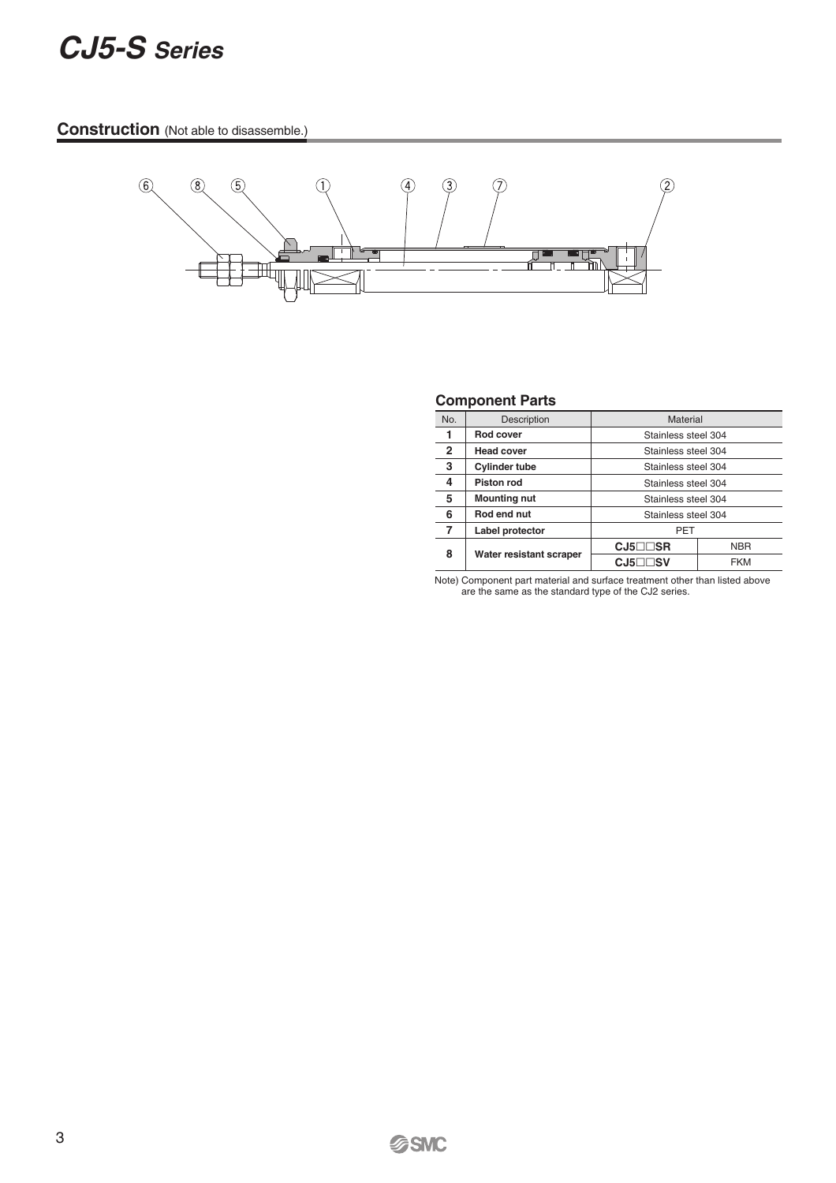# *CJ5-S Series*

**Construction** (Not able to disassemble.)



#### **Component Parts**

| No.            | Description             | Material            |            |  |  |  |  |  |
|----------------|-------------------------|---------------------|------------|--|--|--|--|--|
| 1              | Rod cover               | Stainless steel 304 |            |  |  |  |  |  |
| $\overline{2}$ | <b>Head cover</b>       | Stainless steel 304 |            |  |  |  |  |  |
| 3              | <b>Cylinder tube</b>    | Stainless steel 304 |            |  |  |  |  |  |
| 4              | Piston rod              | Stainless steel 304 |            |  |  |  |  |  |
| 5              | <b>Mounting nut</b>     | Stainless steel 304 |            |  |  |  |  |  |
| 6              | Rod end nut             | Stainless steel 304 |            |  |  |  |  |  |
| 7              | Label protector         | PET                 |            |  |  |  |  |  |
| 8              |                         | $CJ5\square S$ R    | <b>NBR</b> |  |  |  |  |  |
|                | Water resistant scraper | $CJ5\square$ $SVI$  | <b>FKM</b> |  |  |  |  |  |

Note) Component part material and surface treatment other than listed above are the same as the standard type of the CJ2 series.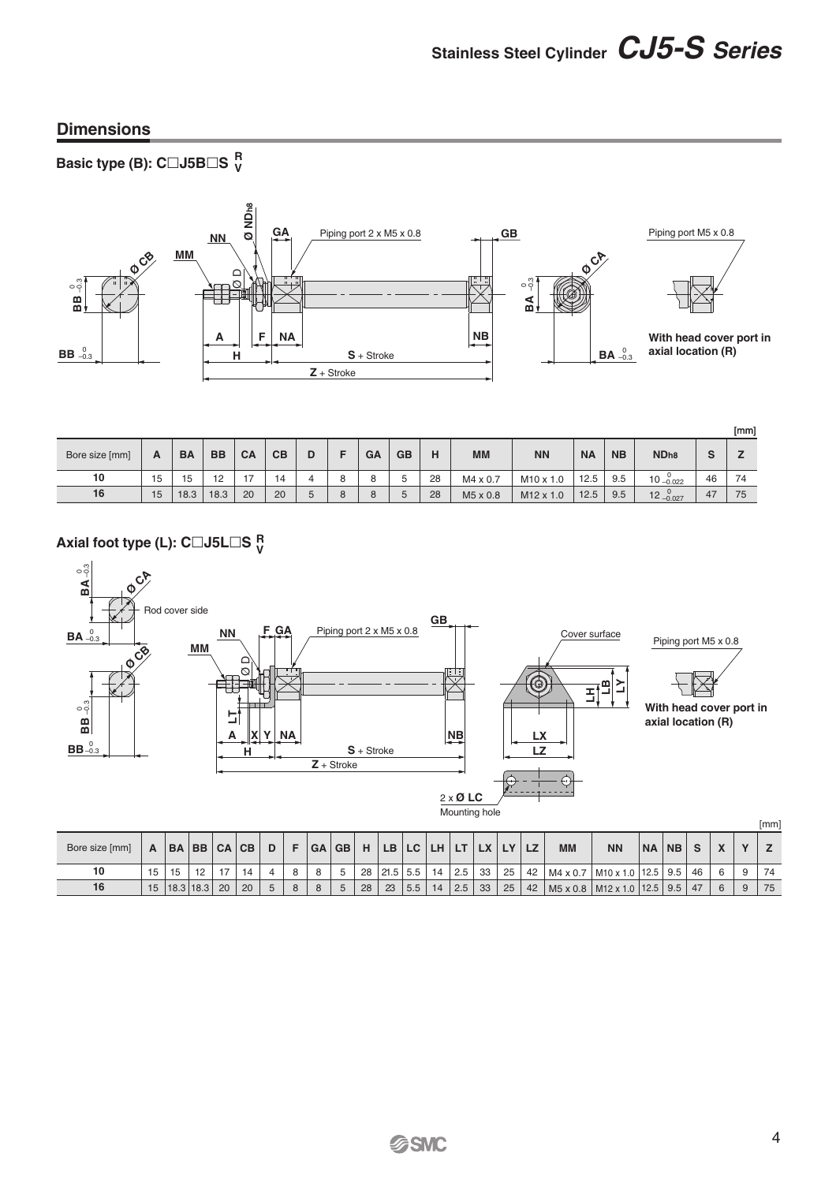### **Dimensions**

**Basic type (B): C□J5B□S**  $\frac{R}{V}$ 



| Bore size [mm] | A  | <b>BA</b> | <b>BB</b> | <b>CA</b>     | CB | D |   | <b>GA</b> | <b>GB</b> | н  | <b>MM</b>            | <b>NN</b>        | <b>NA</b> | <b>NB</b> | ND <sub>h8</sub>               | $\sim$<br>c | լոսոդ |
|----------------|----|-----------|-----------|---------------|----|---|---|-----------|-----------|----|----------------------|------------------|-----------|-----------|--------------------------------|-------------|-------|
| 10             | 15 | 15        | 12        | $\rightarrow$ | 14 |   | ີ | я<br>u    |           | 28 | M4 x 0.7             | $M10 \times 1.0$ | 12.5      | 9.5       | $10 - 0.022$                   | 46          | 74    |
| 16             | 15 | 18.3      | 18.3      | 20            | 20 | ັ |   | 8         |           | 28 | M <sub>5</sub> x 0.8 | M12 x 1.0        | 12.5      | 9.5       | 10 <sup>1</sup><br>$2 - 0.027$ | 47          | 75    |

## **Axial foot type (L): C□J5L□S**  $\frac{R}{V}$



| Bore size [mm] | A  | <b>BA</b> | <b>BB</b>             | CA CB | D | <b>GA</b> | <b>GB</b> | H  | LB   | LC  | LH. |          | LX |    |    | <b>MM</b>                   | <b>NN</b>        | <b>NA</b> | <b>NB</b> | $\sim$ | $\mathbf{v}$ |    |
|----------------|----|-----------|-----------------------|-------|---|-----------|-----------|----|------|-----|-----|----------|----|----|----|-----------------------------|------------------|-----------|-----------|--------|--------------|----|
| 10             | 15 | 15        |                       |       |   |           |           | 28 | 21.5 | 5.5 | 14  | 2.5      | 33 | 25 | 42 | $M4 \times 0.7$             | $M10 \times 1.0$ | 12.5      | 9.5       | 46     |              | 74 |
| 16             |    |           | 15   18.3   18.3   20 | 20    | 5 |           | 5         | 28 | 23   | 5.5 | 14  | $2.5$ 33 |    | 25 | 42 | M5 x 0.8   M12 x 1.0   12.5 |                  |           | 9.5       | 47     |              | 75 |

 $\mathbf{m}$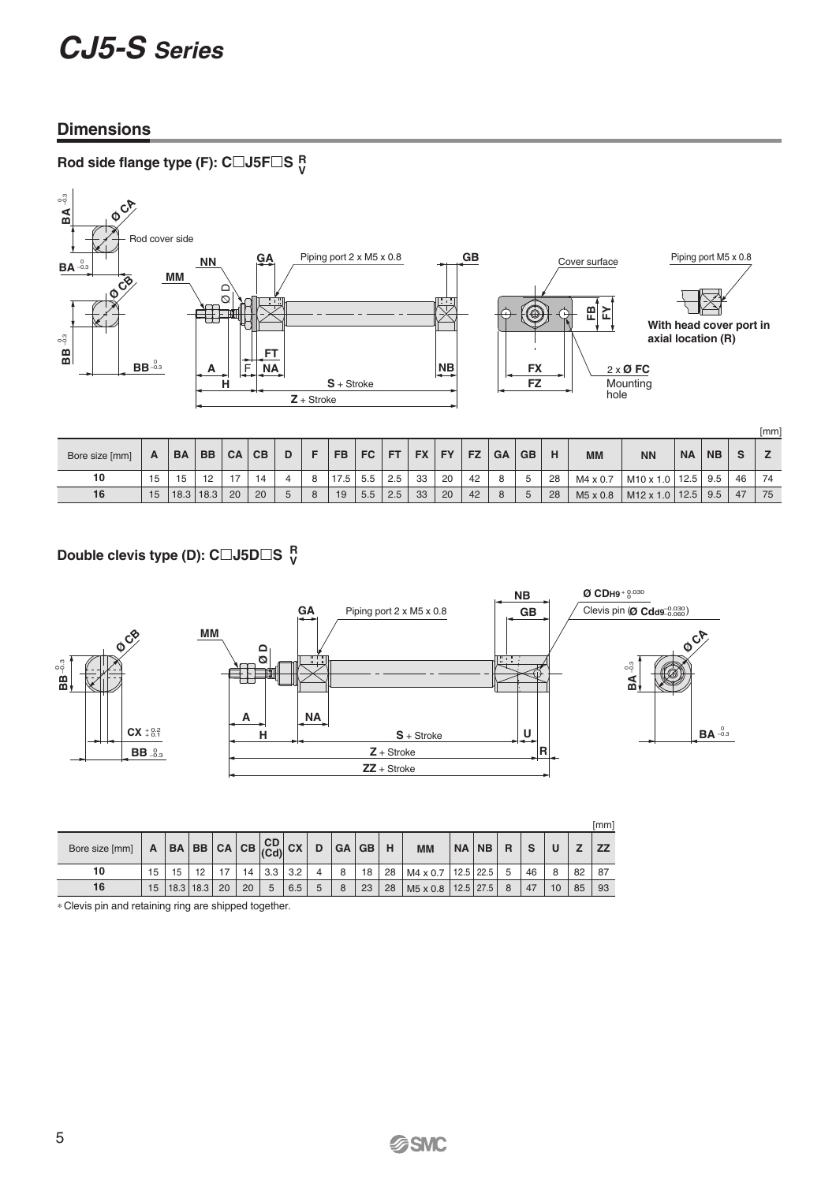# *CJ5-S Series*

#### **Dimensions**

## **Rod side flange type (F): C□J5F□S**  $\frac{R}{V}$



| Bore size [mm] | A  | <b>BA</b> | <b>BB</b>     | <b>CA</b>     | <b>CB</b> | D |   | <b>FB</b> | FC. | <b>FT</b> | <b>FX</b> | <b>FY</b> | <b>FZ</b> | <b>GA</b> | <b>GB</b> | н  | <b>MM</b> | <b>NN</b>               | <b>NA</b> | <b>NB</b> | S  |    |
|----------------|----|-----------|---------------|---------------|-----------|---|---|-----------|-----|-----------|-----------|-----------|-----------|-----------|-----------|----|-----------|-------------------------|-----------|-----------|----|----|
| 10             | 15 | 15        | 10            | $\rightarrow$ |           |   | 8 | 17.5      | 5.5 | 2.5       | 33        | 20        | 42        | 8         |           | 28 | M4 x 0.7  | $M10 \times 1.0$   12.5 |           | 9.5       | 46 | 74 |
| 16             | 15 |           | $18.3$   18.3 | 20            | 20        | 5 | 8 | 19        | 5.5 | 2.5       | 33        | 20        | 42        | 8         |           | 28 | M5 x 0.8  | $M12 \times 1.0$   12.5 |           | 9.5       | 47 | 75 |

## Double clevis type (D):  $\mathsf{C}\square\mathsf{J5}\mathsf{D}\square\mathsf{S}$   $\frac{\mathsf{R}}{\mathsf{V}}$



|                |    |                                                                                                                              |    |    |    |     |     |   |   |         |    |                                    |             |   |          |    |    | [mm]      |
|----------------|----|------------------------------------------------------------------------------------------------------------------------------|----|----|----|-----|-----|---|---|---------|----|------------------------------------|-------------|---|----------|----|----|-----------|
| Bore size [mm] | A  | $\mathbb{R}$ BB CA CB $\begin{vmatrix} CD & CD \\ (Cd) & C \end{vmatrix}$ CX $\begin{vmatrix} D & CD \\ C & D \end{vmatrix}$ |    |    |    |     |     |   |   | GA   GB | H  | <b>MM</b>                          | NA NB       | R | <b>S</b> |    |    | <b>ZZ</b> |
| 10             | 15 | 15                                                                                                                           | 12 | 17 | 14 | 3.3 | 3.2 |   | 8 | 18      | 28 | $M4 \times 0.7$                    | $12.5$ 22.5 | 5 | 46       | 8  | 82 | 87        |
| 16             | 15 | 18.3 18.3                                                                                                                    |    | 20 | 20 | 5   | 6.5 | 5 | 8 | 23      | 28 | M <sub>5</sub> x 0.8   12.5   27.5 |             | 8 | 47       | 10 | 85 | 93        |

∗Clevis pin and retaining ring are shipped together.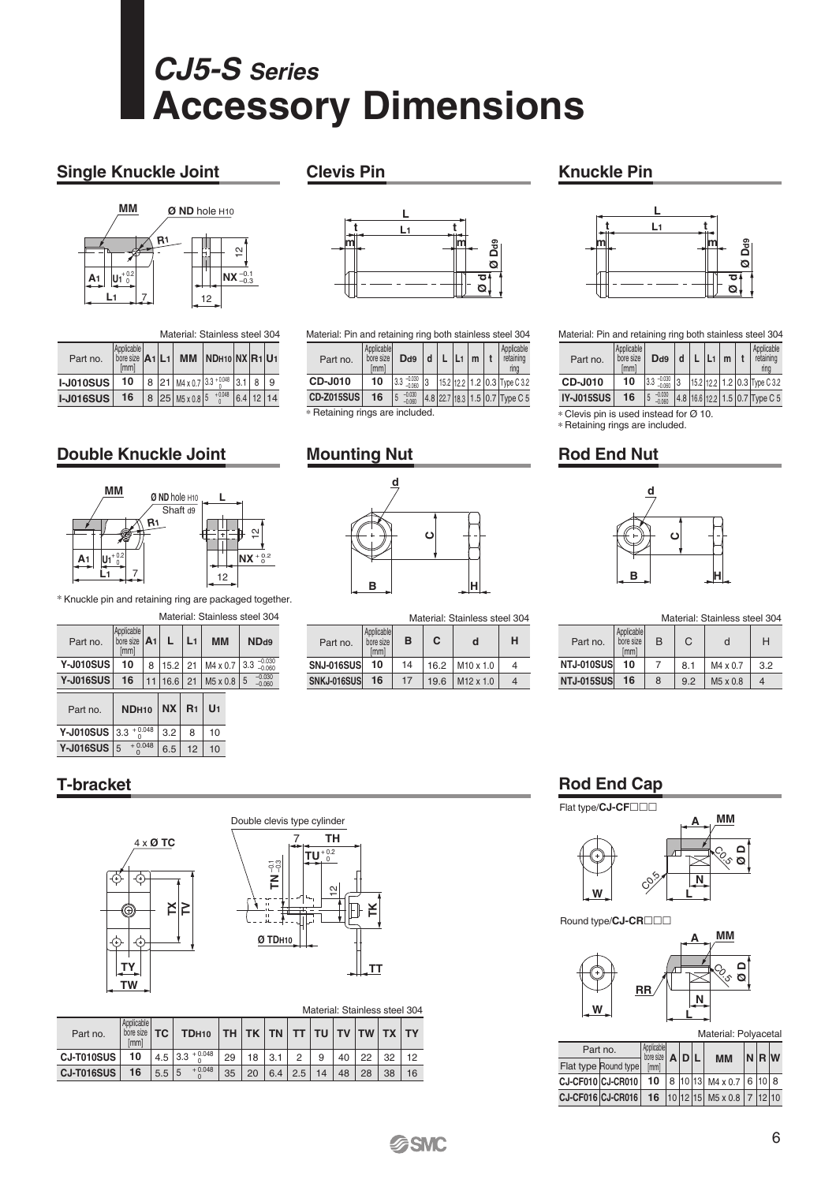# *CJ5-S Series* **Accessory Dimensions**

### **Single Knuckle Joint**



|                  |                    |  |               | Material: Stainless steel 304                 |                 |   |
|------------------|--------------------|--|---------------|-----------------------------------------------|-----------------|---|
| Part no.         | Applicable<br>[mm] |  |               | bore size $ A_1 L_1 $ MM $ NDH_10 NX R_1 U_1$ |                 |   |
| <b>I-J010SUS</b> | 10                 |  |               | $8$   21   M4 x 0.7   3.3 + 0.048   3.1   8   |                 | 9 |
| $I-J016SUS$      | 16                 |  | 8 25 M5x0.8 5 | $+0.048$                                      | $6.4$   12   14 |   |

#### **Double Knuckle Joint**



∗ Knuckle pin and retaining ring are packaged together.

|                  |                                         |   |                                             | Material: Stainless steel 304 |
|------------------|-----------------------------------------|---|---------------------------------------------|-------------------------------|
| Part no.         | Applicable<br>bore size $ A_1 $<br>[mm] | L | <b>MM</b>                                   | ND <sub>d9</sub>              |
| <b>Y-J010SUS</b> | 10                                      |   | 8 15.2 21 M4 x 0.7 3.3 $^{-0.030}_{-0.060}$ |                               |
| Y-J016SUS        | 16                                      |   | $11$   16.6   21   M <sub>5</sub> x 0.8   5 | $-0.030$<br>$-0.060$          |
|                  |                                         |   |                                             |                               |

| Part no.                   | NDH10   NX   R1   U1 |     |    |    |
|----------------------------|----------------------|-----|----|----|
| Y-J010SUS 3.3 $+0.048$ 3.2 |                      |     | 8  | 10 |
| Y-J016SUS 5                | $+0.048$             | 6.5 | 12 | 10 |

#### **T-bracket**





|                   |                                 |       |                       |    |                   |     |     |    |    | Material: Stainless steel 304 |    |    |
|-------------------|---------------------------------|-------|-----------------------|----|-------------------|-----|-----|----|----|-------------------------------|----|----|
| Part no.          | Applicable<br>bore size<br>[mm] | ТC    | TD <sub>H10</sub>     |    | $TH$ TH $TK$ $TN$ |     | TT  | TU | TV | TW TX                         |    | TY |
| CJ-T010SUS        | 10                              |       | $14.5$ 3.3 $+0.048$ 1 | 29 | 18                | 3.1 | 2   | 9  | 40 | 22                            | 32 | 12 |
| <b>CJ-T016SUS</b> | 16                              | 5.5 5 | $+0.048$              | 35 | 20                | 6.4 | 2.5 | 14 | 48 | 28                            | 38 | 16 |

### **Clevis Pin**



Material: Pin and retaining ring both stainless steel 304

| Part no.          | Applicable<br>bore size<br>[mm] | D <sub>d9</sub> | $d$   L | $ L_1 $ | m | Applicable<br>retaining<br>ring |
|-------------------|---------------------------------|-----------------|---------|---------|---|---------------------------------|
| <b>CD-J010</b>    | 10                              | $3.3 - 0.030$   |         |         |   | 15.2 12.2 1.2 0.3 Type C 3.2    |
| <b>CD-Z015SUS</b> | 16                              | $-0.030$        |         |         |   | 4.8 22.7 18.3 1.5 0.7 Type C 5  |

∗ Retaining rings are included. ∗ Clevis pin is used instead for Ø 10.

#### **Mounting Nut**

# **B H d C**

| Part no.          | Applicable<br>bore size<br>[mm] | B  | C    | d                | н |
|-------------------|---------------------------------|----|------|------------------|---|
| <b>SNJ-016SUS</b> | 10                              | 14 | 16.2 | $M10 \times 1.0$ |   |
| SNKJ-016SUS       | 16                              | 17 |      | $19.6$ M12 x 1.0 |   |

### **Knuckle Pin**



Material: Pin and retaining ring both stainless steel 304

| Part no.          | Applicable<br>bore size<br>[mm] | D <sub>d9</sub>           | $d$   L   L <sub>1</sub>   m |  | Applicable<br>retaining<br>rına   |
|-------------------|---------------------------------|---------------------------|------------------------------|--|-----------------------------------|
| <b>CD-J010</b>    | 10                              | $3.3 - 0.030$             |                              |  | 15.2 12.2 1.2 0.3 Type C 3.2      |
| <b>IY-J015SUS</b> | 16                              | $-0.030$<br>5<br>$-0.060$ |                              |  | $14.8$ 16.6 12.2 1.5 0.7 Type C 5 |

∗ Retaining rings are included.

### **Rod End Nut**



Material: Stainless steel 304 Material: Stainless steel 304

**MM**

| Part no.          | Applicable<br>B<br>bore size<br>[mm] |   | C   | d        | н  |  |
|-------------------|--------------------------------------|---|-----|----------|----|--|
| NTJ-010SUS        | 10                                   |   | 8.1 | M4 x 0.7 | 32 |  |
| <b>NTJ-015SUS</b> | 16                                   | 8 | 9.2 | M5 x 0.8 |    |  |

#### **Rod End Cap**

**A** Flat type/**CJ-CF**□□□



Round type/**CJ-CR**<sub>-</sub>



Material: Polyacetal

| Part no.             | Applicable<br>bore size $\vert A \vert D \vert L$ |                 | <b>MM</b> | $N$ R $W$                       |  |  |
|----------------------|---------------------------------------------------|-----------------|-----------|---------------------------------|--|--|
| Flat type Round type |                                                   | [mm]            |           |                                 |  |  |
| CJ-CF010 CJ-CR010    |                                                   | 10              |           | 8 10 13 M4 x 0.7 6 10 8         |  |  |
| CJ-CF016 CJ-CR016    |                                                   | 16 <sup>1</sup> |           | $10 12 15 $ M5 x 0.8 $ 7 12 10$ |  |  |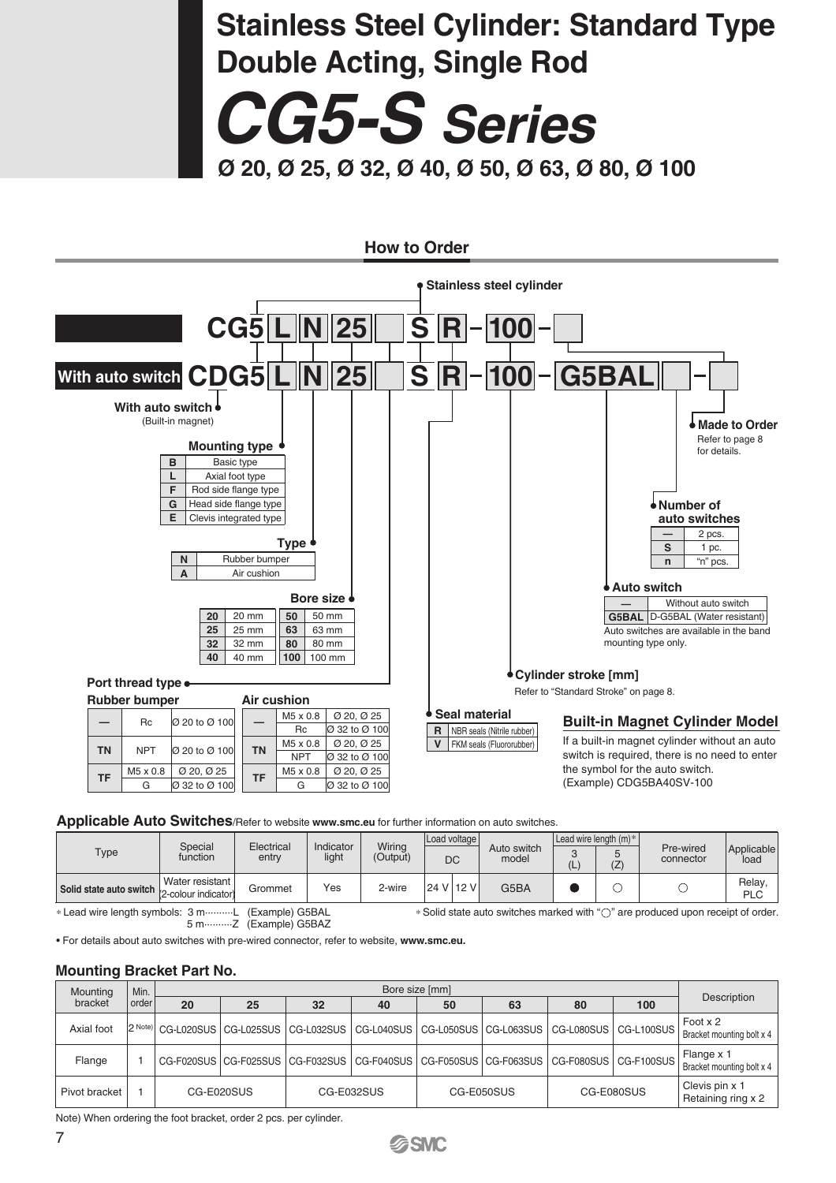# *CG5-S Series* **Ø 20, Ø 25, Ø 32, Ø 40, Ø 50, Ø 63, Ø 80, Ø 100 Stainless Steel Cylinder: Standard Type Double Acting, Single Rod**



#### **Applicable Auto Switches**/Refer to website **www.smc.eu** for further information on auto switches.

| Type                                                                                                           | Special<br>function                     | Electrical<br>entry                                         | Indicator<br>light | Wiring<br>(Output) |      | Load voltage<br>DC | Auto switch<br>model | $\overline{1}$<br>└ | Lead wire length $(m)$ *<br>(Z) | Pre-wired<br>connector                                                                                                        | Applicable<br>load |
|----------------------------------------------------------------------------------------------------------------|-----------------------------------------|-------------------------------------------------------------|--------------------|--------------------|------|--------------------|----------------------|---------------------|---------------------------------|-------------------------------------------------------------------------------------------------------------------------------|--------------------|
| Solid state auto switch l                                                                                      | Water resistant<br>(2-colour indicator) | Grommet                                                     | Yes                | 2-wire             | 24 V | 12 V               | G5BA                 |                     |                                 |                                                                                                                               | Relay<br>PLC       |
| the first section of the second contract and contract of the first section of the first section of the first s |                                         | $(T)$ $\wedge$ $\wedge$ $\wedge$ $\wedge$ $\wedge$ $\wedge$ |                    |                    |      |                    |                      |                     |                                 | $\sim$ 0.101 state and contribution in additional with $\# \bigcirc \emptyset$ and should be all the second state of and some |                    |

∗ Lead wire length symbols: 3 m··········L (Example) G5BAL 5 m··········Z (Example) G5BAZ ∗ Solid state auto switches marked with " " are produced upon receipt of order.

• For details about auto switches with pre-wired connector, refer to website, **www.smc.eu.**

#### **Mounting Bracket Part No.**

| Mounting      | Min.  |    | Bore size [mm] |                                                                                                 |            |    |            |    |            |                                         |  |  |  |
|---------------|-------|----|----------------|-------------------------------------------------------------------------------------------------|------------|----|------------|----|------------|-----------------------------------------|--|--|--|
| bracket       | order | 20 | 25             | 32                                                                                              | 40         | 50 | 63         | 80 | 100        | Description                             |  |  |  |
| Axial foot    |       |    |                | 2 Note) CG-L020SUS CG-L025SUS CG-L032SUS CG-L040SUS CG-L050SUS CG-L063SUS CG-L080SUS CG-L100SUS |            |    |            |    |            | Foot x 2<br>Bracket mounting bolt x 4   |  |  |  |
| Flange        |       |    |                | CG-F020SUS   CG-F025SUS   CG-F032SUS   CG-F040SUS   CG-F050SUS   CG-F063SUS   CG-F080SUS        |            |    |            |    | CG-F100SUS | Flange x 1<br>Bracket mounting bolt x 4 |  |  |  |
| Pivot bracket |       |    | CG-E020SUS     |                                                                                                 | CG-E032SUS |    | CG-E050SUS |    | CG-E080SUS | Clevis pin x 1<br>Retaining ring x 2    |  |  |  |

Note) When ordering the foot bracket, order 2 pcs. per cylinder.

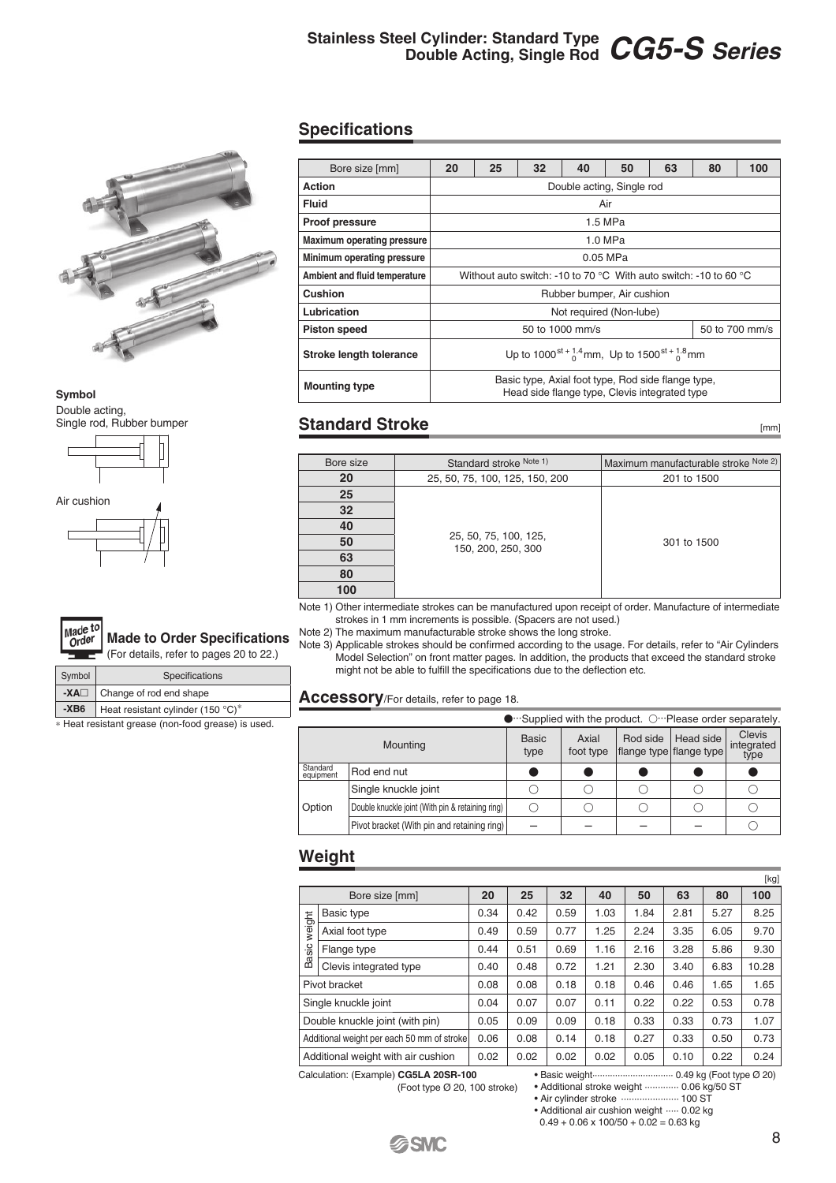# **Stainless Steel Cylinder: Standard Type Double Acting, Single Rod** *CG5-S Series*



#### **Symbol**

Double acting, Single rod, Rubber bumper





| Made to Order Specifications                   |
|------------------------------------------------|
| $\Box$ (For details, refer to pages 20 to 22.) |

| Symbol | <b>Specifications</b>                 |
|--------|---------------------------------------|
|        | $-XA \square$ Change of rod end shape |
| -XB6   | Heat resistant cylinder (150 °C)*     |

∗ Heat resistant grease (non-food grease) is used.

#### **Specifications**

| Bore size [mm]                    | 20 | 25 | 32 | 40                                                                                                  | 50      | 63 | 80 | 100            |
|-----------------------------------|----|----|----|-----------------------------------------------------------------------------------------------------|---------|----|----|----------------|
| <b>Action</b>                     |    |    |    | Double acting, Single rod                                                                           |         |    |    |                |
| <b>Fluid</b>                      |    |    |    | Air                                                                                                 |         |    |    |                |
| Proof pressure                    |    |    |    |                                                                                                     | 1.5 MPa |    |    |                |
| <b>Maximum operating pressure</b> |    |    |    |                                                                                                     | 1.0 MPa |    |    |                |
| Minimum operating pressure        |    |    |    | 0.05 MPa                                                                                            |         |    |    |                |
| Ambient and fluid temperature     |    |    |    | Without auto switch: -10 to 70 °C With auto switch: -10 to 60 °C                                    |         |    |    |                |
| Cushion                           |    |    |    | Rubber bumper, Air cushion                                                                          |         |    |    |                |
| Lubrication                       |    |    |    | Not required (Non-lube)                                                                             |         |    |    |                |
| <b>Piston speed</b>               |    |    |    | 50 to 1000 mm/s                                                                                     |         |    |    | 50 to 700 mm/s |
| Stroke length tolerance           |    |    |    | Up to $1000^{st + 1.4}_{o}$ mm, Up to $1500^{st + 1.8}_{o}$ mm                                      |         |    |    |                |
| <b>Mounting type</b>              |    |    |    | Basic type, Axial foot type, Rod side flange type,<br>Head side flange type, Clevis integrated type |         |    |    |                |

### **Standard Stroke**

Bore size Standard stroke Note 1) Maximum manufacturable stroke Note 2) **20** 25, 50, 75, 100, 125, 150, 200 201 to 1500 **25** 25, 50, 75, 100, 125, 150, 200, 250, 300 301 to 1500 **32 40 50 63 80 100**

Note 1) Other intermediate strokes can be manufactured upon receipt of order. Manufacture of intermediate strokes in 1 mm increments is possible. (Spacers are not used.)

Note 2) The maximum manufacturable stroke shows the long stroke.

Note 3) Applicable strokes should be confirmed according to the usage. For details, refer to "Air Cylinders Model Selection" on front matter pages. In addition, the products that exceed the standard stroke might not be able to fulfill the specifications due to the deflection etc.

Accessory/For details, refer to page 18.

|                       |                                                  |                      |                    |          | $\bullet$ Supplied with the product. $\circ$ Please order separately. |                                     |
|-----------------------|--------------------------------------------------|----------------------|--------------------|----------|-----------------------------------------------------------------------|-------------------------------------|
|                       | Mounting                                         | <b>Basic</b><br>type | Axial<br>foot type | Rod side | Head side<br>flange type flange type                                  | <b>Clevis</b><br>integrated<br>type |
| Standard<br>equipment | Rod end nut                                      |                      |                    |          |                                                                       |                                     |
|                       | Single knuckle joint                             |                      |                    |          |                                                                       |                                     |
| Option                | Double knuckle joint (With pin & retaining ring) |                      |                    |          |                                                                       |                                     |
|                       | Pivot bracket (With pin and retaining ring)      |                      |                    |          |                                                                       |                                     |

#### **Weight**

|        |                                            |      |      |      |      |      |      |                         | [kg]          |
|--------|--------------------------------------------|------|------|------|------|------|------|-------------------------|---------------|
|        | Bore size [mm]                             | 20   | 25   | 32   | 40   | 50   | 63   | 80                      | 100           |
|        | Basic type                                 | 0.34 | 0.42 | 0.59 | 1.03 | 1.84 | 2.81 | 5.27                    | 8.25          |
| weight | Axial foot type                            | 0.49 | 0.59 | 0.77 | 1.25 | 2.24 | 3.35 | 6.05                    | 9.70          |
| Basic  | Flange type                                | 0.44 | 0.51 | 0.69 | 1.16 | 2.16 | 3.28 | 5.86                    | 9.30          |
|        | Clevis integrated type                     | 0.40 | 0.48 | 0.72 | 1.21 | 2.30 | 3.40 | 6.83                    | 10.28         |
|        | Pivot bracket                              | 0.08 | 0.08 | 0.18 | 0.18 | 0.46 | 0.46 | 1.65                    | 1.65          |
|        | Single knuckle joint                       | 0.04 | 0.07 | 0.07 | 0.11 | 0.22 | 0.22 | 0.53                    | 0.78          |
|        | Double knuckle joint (with pin)            | 0.05 | 0.09 | 0.09 | 0.18 | 0.33 | 0.33 | 0.73                    | 1.07          |
|        | Additional weight per each 50 mm of stroke | 0.06 | 0.08 | 0.14 | 0.18 | 0.27 | 0.33 | 0.50                    | 0.73          |
|        | Additional weight with air cushion         | 0.02 | 0.02 | 0.02 | 0.02 | 0.05 | 0.10 | 0.22                    | 0.24          |
|        |                                            |      |      |      |      |      |      | $0.101$ $\sqrt{2}$ $11$ | $\sim$ $\sim$ |

(Foot type Ø 20, 100 stroke)

Calculation: (Example) **CG5LA 20SR-100** • Basic weight································ 0.49 kg (Foot type Ø 20)

• Additional stroke weight ············· 0.06 kg/50 ST

- Air cylinder stroke ························· 100 ST
- Additional air cushion weight ····· 0.02 kg

 $0.49 + 0.06 \times 100/50 + 0.02 = 0.63$  kg



[mm]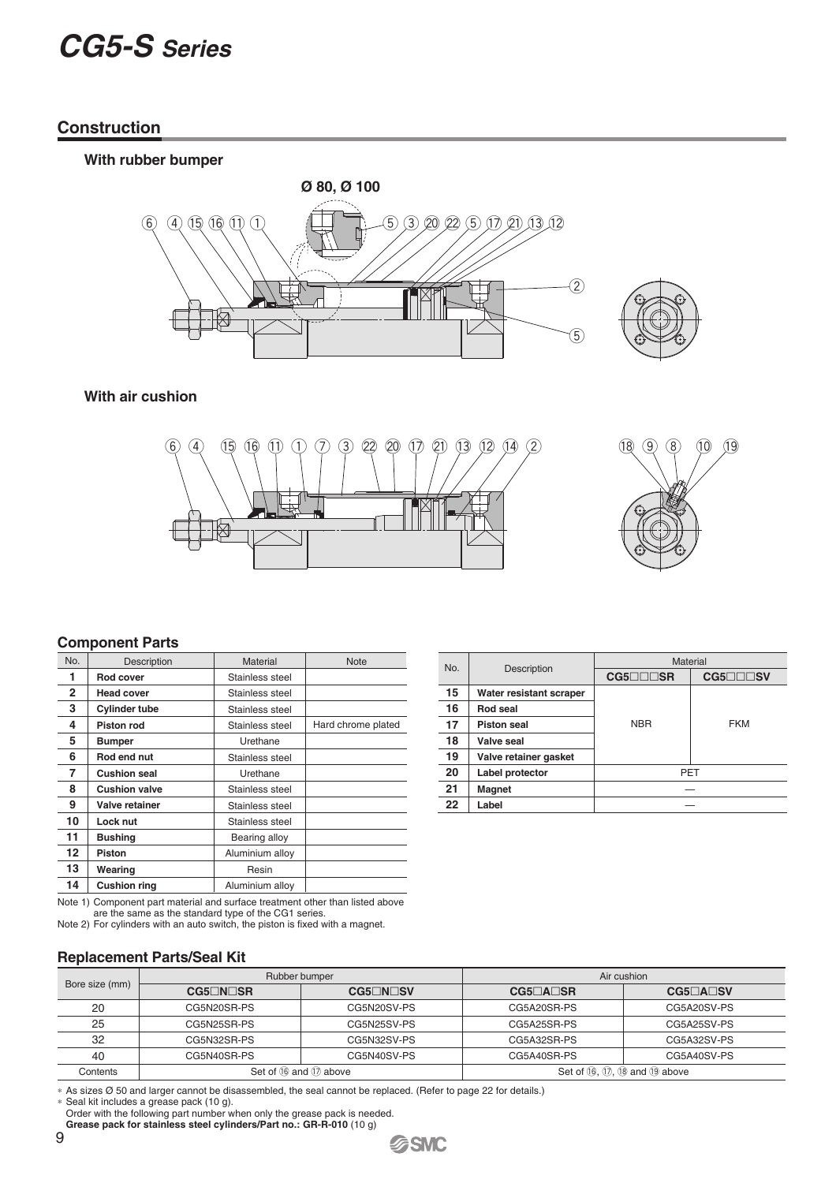# *CG5-S Series*

#### **Construction**

#### **With rubber bumper**





#### **With air cushion**





#### **Component Parts**

| No.            | Description          | Material        | <b>Note</b>        |
|----------------|----------------------|-----------------|--------------------|
|                | Rod cover            | Stainless steel |                    |
| $\overline{2}$ | <b>Head cover</b>    | Stainless steel |                    |
| 3              | <b>Cylinder tube</b> | Stainless steel |                    |
| 4              | Piston rod           | Stainless steel | Hard chrome plated |
| 5              | <b>Bumper</b>        | Urethane        |                    |
| 6              | Rod end nut          | Stainless steel |                    |
| 7              | <b>Cushion seal</b>  | Urethane        |                    |
| 8              | <b>Cushion valve</b> | Stainless steel |                    |
| 9              | Valve retainer       | Stainless steel |                    |
| 10             | Lock nut             | Stainless steel |                    |
| 11             | <b>Bushing</b>       | Bearing alloy   |                    |
| 12             | Piston               | Aluminium alloy |                    |
| 13             | Wearing              | Resin           |                    |
| 14             | <b>Cushion ring</b>  | Aluminium alloy |                    |

Note 1) Component part material and surface treatment other than listed above are the same as the standard type of the CG1 series. Note 2) For cylinders with an auto switch, the piston is fixed with a magnet.

| No. | Description             | Material               |            |
|-----|-------------------------|------------------------|------------|
|     |                         | $CG5\square\square$ SR | CG5□□□SV   |
| 15  | Water resistant scraper |                        |            |
| 16  | Rod seal                |                        |            |
| 17  | <b>Piston seal</b>      | <b>NBR</b>             | <b>FKM</b> |
| 18  | Valve seal              |                        |            |
| 19  | Valve retainer gasket   |                        |            |
| 20  | Label protector         | PET                    |            |
| 21  | <b>Magnet</b>           |                        |            |
| 22  | Label                   |                        |            |
|     |                         |                        |            |

#### **Replacement Parts/Seal Kit**

|                | Rubber bumper  |                          | Air cushion                              |                    |
|----------------|----------------|--------------------------|------------------------------------------|--------------------|
| Bore size (mm) | $CG5$ $N$ $SR$ | $CG5\square N\square SV$ | $CG5\Box A \Box SR$                      | $CG5\Box A\Box SV$ |
| 20             | CG5N20SR-PS    | CG5N20SV-PS              | CG5A20SR-PS                              | CG5A20SV-PS        |
| 25             | CG5N25SR-PS    | CG5N25SV-PS              | CG5A25SR-PS                              | CG5A25SV-PS        |
| 32             | CG5N32SR-PS    | CG5N32SV-PS              | CG5A32SR-PS                              | CG5A32SV-PS        |
| 40             | CG5N40SR-PS    | CG5N40SV-PS              | CG5A40SR-PS                              | CG5A40SV-PS        |
| Contents       |                | Set of 16 and 17 above   | Set of $(6, 12)$ , $(8)$ and $(9)$ above |                    |

∗ As sizes Ø 50 and larger cannot be disassembled, the seal cannot be replaced. (Refer to page 22 for details.)

∗ Seal kit includes a grease pack (10 g).

Order with the following part number when only the grease pack is needed. **Grease pack for stainless steel cylinders/Part no.: GR-R-010** (10 g)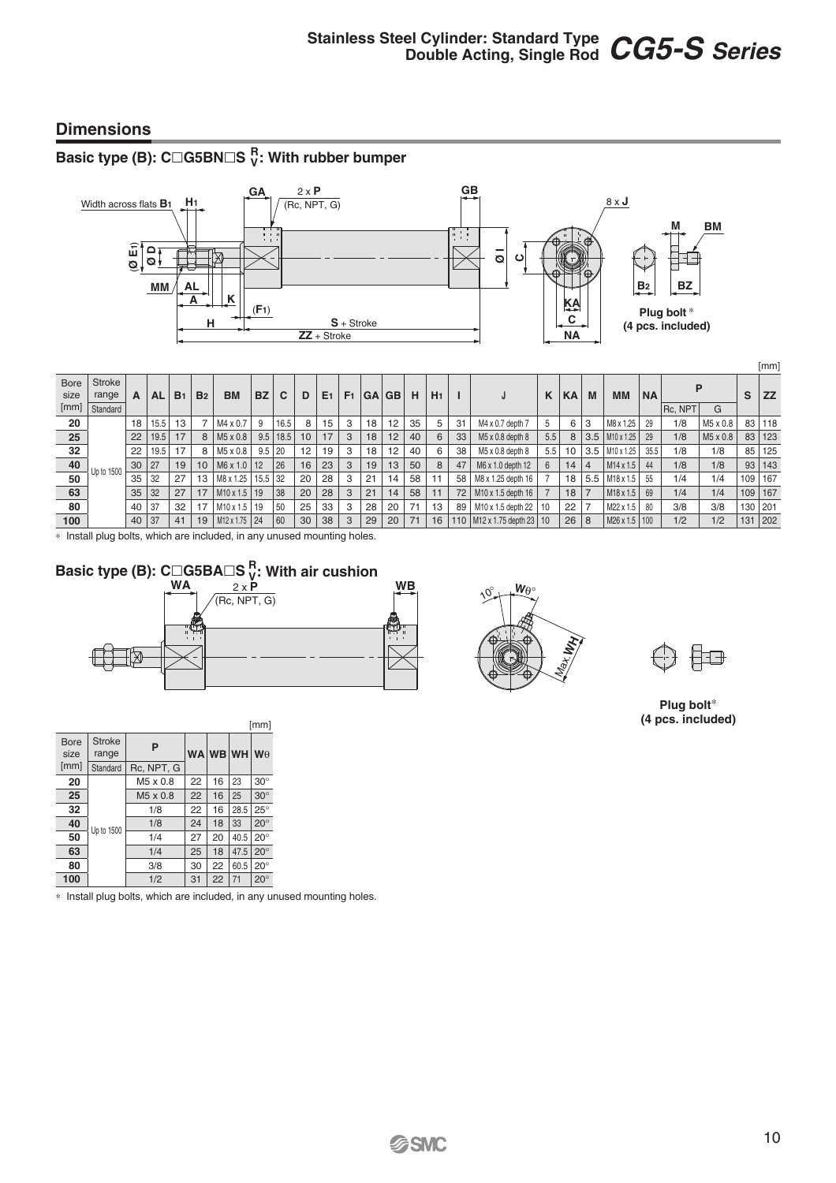#### **Dimensions**

### **Basic type (B): C□G5BN□S**  $\frac{R}{V}$ **: With rubber bumper**



| <b>Bore</b><br>size | Stroke<br>range | A  | <b>AL</b> | B <sub>1</sub> | B <sub>2</sub> | <b>BM</b>                 | <b>BZ</b> | C    | D  | E <sub>1</sub> | F <sub>1</sub> |    | GA GB             | H  | H <sub>1</sub> |     |                                     | K   | <b>KA</b> | M              | <b>MM</b>              | <b>NA</b> |         |          | S   | <b>ZZ</b> |
|---------------------|-----------------|----|-----------|----------------|----------------|---------------------------|-----------|------|----|----------------|----------------|----|-------------------|----|----------------|-----|-------------------------------------|-----|-----------|----------------|------------------------|-----------|---------|----------|-----|-----------|
| [mm]                | Standard        |    |           |                |                |                           |           |      |    |                |                |    |                   |    |                |     |                                     |     |           |                |                        |           | Rc, NPT | G        |     |           |
| 20                  |                 | 18 | 15.5      | 13             |                | M4 x 0.7                  | 9         | 16.5 | 8  | 15             | 3              | 18 | $12 \overline{ }$ | 35 | 5              | -31 | M4 x 0.7 depth 7                    |     | 6         | 3              | M8 x 1.25              | 29        | 1/8     | M5 x 0.8 | 83  | 118       |
| 25                  |                 | 22 | 19.5      | 17             | 8              | M <sub>5</sub> x 0.8      | 9.5       | 18.5 | 10 | 17             | 3              | 18 | 12 <sub>1</sub>   | 40 | 6              | 33  | M5 x 0.8 depth 8                    | 5.5 | 8         | 3.5            | M <sub>10</sub> x 1.25 | 29        | 1/8     | M5 x 0.8 | 83  | 123       |
| 32                  |                 | 22 | 19.5      | 17             | 8              | $M5 \times 0.8$           | 9.5       | 20   | 12 | 19             | 3              | 18 | $12 \overline{ }$ | 40 | 6              | 38  | M5 x 0.8 depth 8                    | 5.5 | 10        | 3.5            | M10 x 1.25             | 35.5      | 1/8     | 1/8      | 85  | 125       |
| 40                  | Up to 1500      | 30 | 27        | 19             | 10             | $M6 \times 1.0$           | 12        | 26   | 16 | 23             | 3              | 19 | 13                | 50 | 8              | 47  | M6 x 1.0 depth 12                   | 6   | 14        | $\overline{4}$ | $M14 \times 1.5$       | 44        | 1/8     | 1/8      | 93  | 143       |
| 50                  |                 | 35 | 32        | 27             | 13             | M8 x 1.25                 | 15.5      | 32   | 20 | 28             | 3              | 21 | 14                | 58 | 11             | 58  | M8 x 1.25 depth 16                  |     | 18        | 5.5            | M <sub>18</sub> x 1.5  | 55        | 1/4     | 1/4      | 109 | 167       |
| 63                  |                 | 35 | 32        | 27             | 17             | $M10 \times 1.5$   19     |           | 38   | 20 | 28             | 3              | 21 | 14                | 58 | 11             | 72  | M <sub>10</sub> x 1.5 depth 16      |     | 18        |                | $M18 \times 1.5$       | 69        | 1/4     | 1/4      |     | 109 167   |
| 80                  |                 | 40 | 37        | 32             | 17             | $M10 \times 1.5$          | 19        | 50   | 25 | 33             | 3              | 28 | 20                | 71 | 13             | 89  | M <sub>10</sub> x 1.5 depth 22   10 |     | 22        |                | M22 x 1.5              | 80        | 3/8     | 3/8      |     | 130 201   |
| 100                 |                 | 40 | 37        | 41             | 19             | M <sub>12</sub> x 1.75 24 |           | 60   | 30 | 38             | 3              | 29 | 20                | 71 | 16             | 110 | M12 x 1.75 depth 23   10            |     | 26        | 8              | M26 x 1.5 100          |           | 1/2     | 1/2      | 131 | 202       |

∗ Install plug bolts, which are included, in any unused mounting holes.

# **Basic type (B): C□G5BA□S**  ${}_{V}^{R}$ **: With air cushion<br>WB
WA
<sub>2×P</sub>
2×P**





₩

**Plug bolt**∗ **(4 pcs. included)**

|                     |                        |                      |    |    |          | [mm]         |
|---------------------|------------------------|----------------------|----|----|----------|--------------|
| <b>Bore</b><br>size | <b>Stroke</b><br>range | P                    |    |    | WA WB WH | Wθ           |
| [mm]                | Standard               | Rc, NPT, G           |    |    |          |              |
| 20                  |                        | M <sub>5</sub> x 0.8 | 22 | 16 | 23       | $30^\circ$   |
| 25                  |                        | M <sub>5</sub> x 0.8 | 22 | 16 | 25       | $30^\circ$   |
| 32                  |                        | 1/8                  | 22 | 16 | 28.5     | $25^{\circ}$ |
| 40                  | Up to 1500             | 1/8                  | 24 | 18 | 33       | $20^{\circ}$ |
| 50                  |                        | 1/4                  | 27 | 20 | 40.5     | $20^{\circ}$ |
| 63                  |                        | 1/4                  | 25 | 18 | 47.5     | $20^{\circ}$ |
| 80                  |                        | 3/8                  | 30 | 22 | 60.5     | $20^{\circ}$ |
| 100                 |                        | 1/2                  | 31 | 22 | 71       | $20^{\circ}$ |

∗ Install plug bolts, which are included, in any unused mounting holes.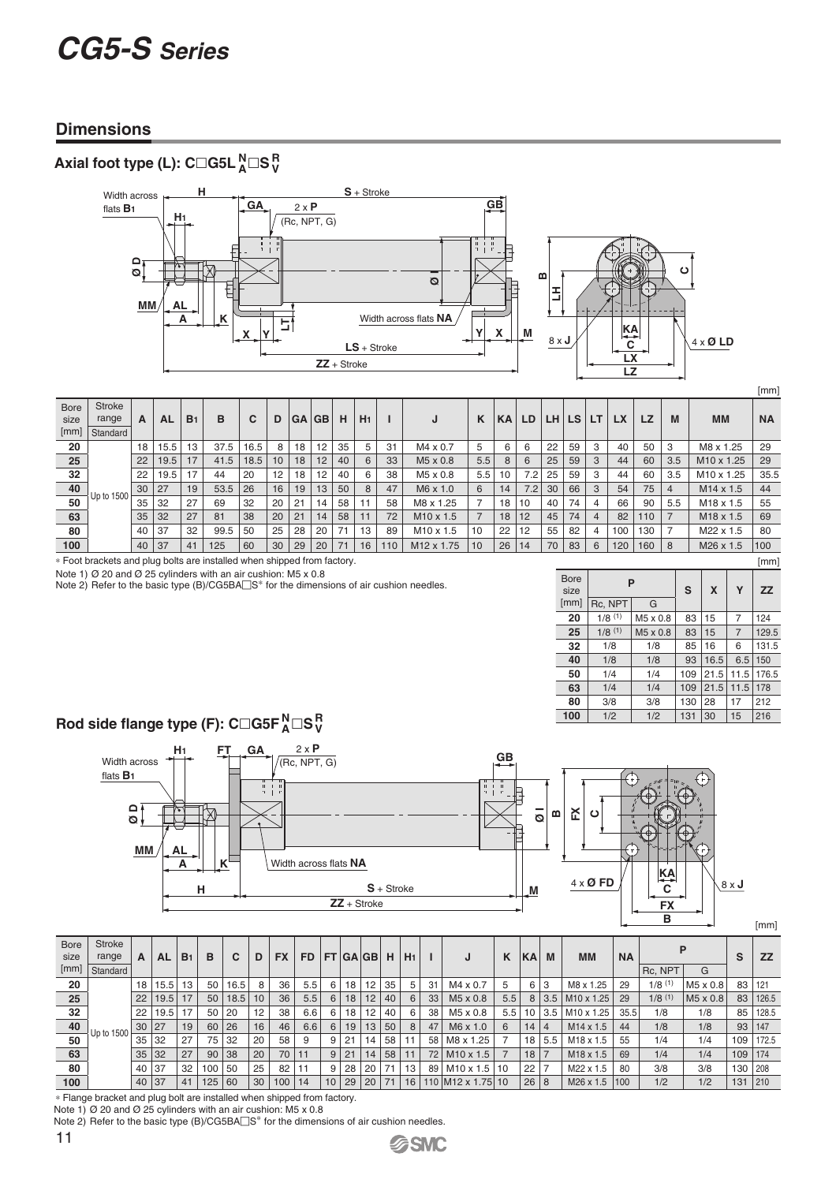# *CG5-S Series*

#### **Dimensions**

#### $\mathsf{Axial}$  foot type (L): C□G5L  $_{\mathsf{A}}^{\mathsf{N}}$ □S  $_{\mathsf{V}}^{\mathsf{R}}$ **N A**



| <b>Bore</b><br>size | <b>Stroke</b><br>range | А  | <b>AL</b> | B <sub>1</sub> | в    | C    | D  | <b>GA</b> | <b>GB</b> | н  | H <sub>1</sub> |     | υ                      | К   | KА | LD  | LH. | LS. | LT. | <b>LX</b> | <b>LZ</b> | M   | <b>MM</b>              | <b>NA</b> |
|---------------------|------------------------|----|-----------|----------------|------|------|----|-----------|-----------|----|----------------|-----|------------------------|-----|----|-----|-----|-----|-----|-----------|-----------|-----|------------------------|-----------|
| [mm]                | Standard               |    |           |                |      |      |    |           |           |    |                |     |                        |     |    |     |     |     |     |           |           |     |                        |           |
| 20                  |                        | 18 | 15.5      | 13             | 37.5 | 16.5 | 8  | 18        | 12        | 35 | 5              | 31  | M4 x 0.7               | 5   | 6  | 6   | 22  | 59  | 3   | 40        | 50        | 3   | M8 x 1.25              | 29        |
| 25                  |                        | 22 | 19.5      | 17             | 41.5 | 18.5 | 10 | 18        | 12        | 40 | 6              | 33  | M5 x 0.8               | 5.5 | 8  | 6   | 25  | 59  | 3   | 44        | 60        | 3.5 | M <sub>10</sub> x 1.25 | 29        |
| 32                  |                        | 22 | 19.5      | 17             | 44   | 20   | 12 | 18        | 12        | 40 | 6              | 38  | M5 x 0.8               | 5.5 | 10 | 7.2 | 25  | 59  | 3   | 44        | 60        | 3.5 | M <sub>10</sub> x 1.25 | 35.5      |
| 40                  | Up to 1500             | 30 | 27        | 19             | 53.5 | 26   | 16 | 19        | 13        | 50 | 8              | 47  | M6 x 1.0               | 6   | 14 | 7.2 | 30  | 66  |     | 54        | 75        | 4   | $M14 \times 1.5$       | 44        |
| 50                  |                        | 35 | 32        | 27             | 69   | 32   | 20 | 21        | 14        | 58 |                | 58  | M8 x 1.25              |     | 18 | 10  | 40  | 74  |     | 66        | 90        | 5.5 | M <sub>18</sub> x 1.5  | 55        |
| 63                  |                        | 35 | 32        | 27             | 81   | 38   | 20 | 21        | 14        | 58 | 11             | 72  | $M10 \times 1.5$       |     | 18 | 12  | 45  | 74  |     | 82        | 110       |     | M <sub>18</sub> x 1.5  | 69        |
| 80                  |                        | 40 | 37        | 32             | 99.5 | 50   | 25 | 28        | 20        | 71 | 13             | 89  | $M10 \times 1.5$       | 10  | 22 | 12  | 55  | 82  |     | 100       | 130       |     | M22 x 1.5              | 80        |
| 100                 |                        | 40 | 37        | 41             | 125  | 60   | 30 | 29        | 20        | 71 | 16             | 110 | M <sub>12</sub> x 1.75 | 10  | 26 | 14  | 70  | 83  | 6   | 120       | 160       | 8   | M <sub>26</sub> x 1.5  | 100       |

∗ Foot brackets and plug bolts are installed when shipped from factory.

Note 1) Ø 20 and Ø 25 cylinders with an air cushion: M5 x 0.8<br>Note 2) Refer to the basic type (B)/CG5BA⊡S\* for the dimensions of air cushion needles.

|                     |           |                      |     |      |                | [mm]      |
|---------------------|-----------|----------------------|-----|------|----------------|-----------|
| <b>Bore</b><br>size |           | P                    | S   | X    | Υ              | <b>ZZ</b> |
| [mm]                | Rc, NPT   | G                    |     |      |                |           |
| 20                  | $1/8$ (1) | M5 x 0.8             | 83  | 15   | 7              | 124       |
| 25                  | $1/8$ (1) | M <sub>5</sub> x 0.8 | 83  | 15   | $\overline{7}$ | 129.5     |
| 32                  | 1/8       | 1/8                  | 85  | 16   | 6              | 131.5     |
| 40                  | 1/8       | 1/8                  | 93  | 16.5 | 6.5            | 150       |
| 50                  | 1/4       | 1/4                  | 109 | 21.5 | 11.5           | 176.5     |
| 63                  | 1/4       | 1/4                  | 109 | 21.5 | 11.5           | 178       |
| 80                  | 3/8       | 3/8                  | 130 | 28   | 17             | 212       |
| 100                 | 1/2       | 1/2                  | 131 | 30   | 15             | 216       |

[mm]

#### **Rod side flange type (F): C□G5F**  $_A^N$ **□S**  $_V^R$ **N A**



| <b>Bore</b><br>size<br>[mm] | <b>Stroke</b><br>range<br>Standard | A  | <b>AL</b> | B <sub>1</sub> | в               | C    | D  | <b>FX</b> | <b>FD</b> |    | <b>FT GAGB</b> |    | н  | H <sub>1</sub> |    | J                | K   | <b>KA</b>       | M              | <b>MM</b>              | <b>NA</b> | Rc, NPT   | G                    | S   | <b>ZZ</b>     |
|-----------------------------|------------------------------------|----|-----------|----------------|-----------------|------|----|-----------|-----------|----|----------------|----|----|----------------|----|------------------|-----|-----------------|----------------|------------------------|-----------|-----------|----------------------|-----|---------------|
| 20                          |                                    | 18 | 15.5      | 13             | 50              | 16.5 | 8  | 36        | 5.5       | 6  | 18             | 12 | 35 | 5              | 31 | M4 x 0.7         | 5   | 6               | -3             | M8 x 1.25              | 29        | 1/8(1)    | M5 x 0.8             |     | 83   121      |
| 25                          |                                    | 22 | 19.5      | 17             | 50              | 18.5 | 10 | 36        | 5.5       | 6  | 18             | 12 | 40 | 6              | 33 | $M5 \times 0.8$  | 5.5 |                 | $8 \mid 3.5$   | M <sub>10</sub> x 1.25 | 29        | $1/8$ (1) | M <sub>5</sub> x 0.8 | 83  | 126.5         |
| 32                          |                                    | 22 | 19.5      | 17             | 50              | 20   | 12 | 38        | 6.6       | 6  | 18             | 12 | 40 | 6              | 38 | M5 x 0.8         | 5.5 | 10 <sub>1</sub> | 3.5            | M <sub>10</sub> x 1.25 | 35.5      | 1/8       | 1/8                  | 85  | 128.5         |
| 40                          | Up to 1500                         | 30 | 27        | 19             | 60              | 26   | 16 | 46        | 6.6       | 6  | 19             | 13 | 50 | 8              | 47 | $M6 \times 1.0$  | 6   | 14              | $\overline{4}$ | $M14 \times 1.5$       | 44        | 1/8       | 1/8                  | 93  | 147           |
| 50                          |                                    | 35 | 32        | 27             | 75              | 32   | 20 | 58        | 9         | 9  | 21             | 14 | 58 |                | 58 | M8 x 1.25        | 7   | 18              | 5.5            | M18 x 1.5              | 55        | 1/4       | 1/4                  | 109 | 172.5         |
| 63                          |                                    | 35 | 32        | 27             | 90 <sup>°</sup> | 38   | 20 | 70        | 11        | 9  | 21             | 14 | 58 | 11             | 72 | $M10 \times 1.5$ |     | 18              |                | M <sub>18</sub> x 1.5  | 69        | 1/4       | 1/4                  | 109 | 174           |
| 80                          |                                    | 40 | 37        | 32             | $100$ 50        |      | 25 | 82        | 11        | 9  | 28             | 20 | 71 | 13             | 89 | $M10 \times 1.5$ | 10  | 22              |                | M22 x 1.5              | 80        | 3/8       | 3/8                  | 130 | 208           |
| 100                         |                                    | 40 | 37        | 41             | 125             | 60   | 30 | 100       | 14        | 10 | 29             | 20 | 71 | 16             |    | 110 M12 x 1.75   | 10  | 26 8            |                | M <sub>26</sub> x 1.5  | 100       | 1/2       | 1/2                  | 131 | $ 210\rangle$ |

∗ Flange bracket and plug bolt are installed when shipped from factory.

Note 1) Ø 20 and Ø 25 cylinders with an air cushion: M5 x 0.8<br>Note 2) Refer to the basic type (B)/CG5BA⊡S\* for the dimensions of air cushion needles.

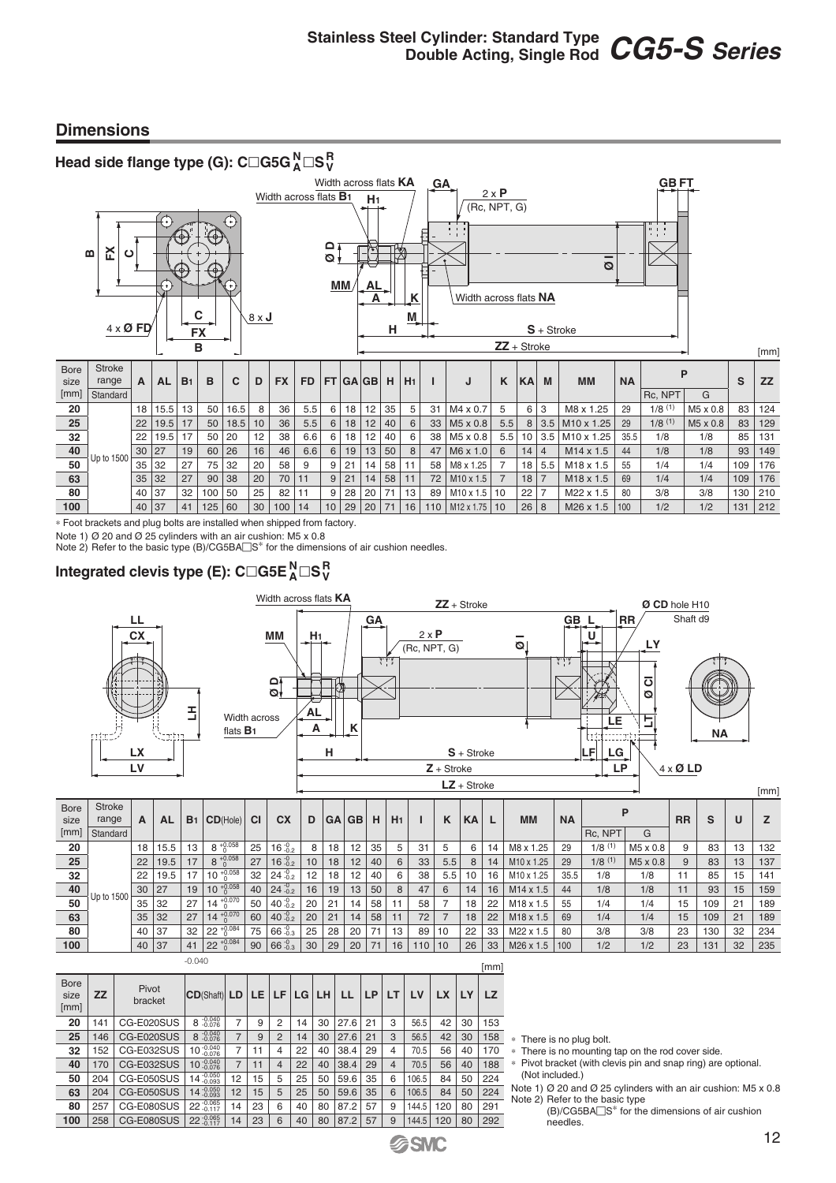#### **Dimensions**

|                                                                                                                  | Head side flange type (G): C $\Box$ G5G $_{\mathtt{A}}^{\mathtt{N}}\Box$ S $_{\mathtt{V}}^{\mathtt{R}}$                                 |    |      |    |               |       |    |                              |     |                     |                                     |                            |    |                |           |                                                                                                 |                |    |                |                       |           |                               |          |     |     |
|------------------------------------------------------------------------------------------------------------------|-----------------------------------------------------------------------------------------------------------------------------------------|----|------|----|---------------|-------|----|------------------------------|-----|---------------------|-------------------------------------|----------------------------|----|----------------|-----------|-------------------------------------------------------------------------------------------------|----------------|----|----------------|-----------------------|-----------|-------------------------------|----------|-----|-----|
|                                                                                                                  | 조<br>$\bf{m}$<br>ပ                                                                                                                      |    | ff   |    | $\frac{1}{2}$ | z + F |    | Width across flats <b>B1</b> |     | ≏<br>$\overline{Q}$ | Width across flats <b>KA</b><br>MM/ | H <sub>1</sub><br>.AL<br>Α | ₩  | к<br>M         | <b>GA</b> | (Rc, NPT, G)<br>╥<br>$\mathbb{H} \setminus \mathbb{I}$<br>$\mathbf{I}$<br>Width across flats NA | $2 \times P$   |    |                | Ø                     |           | <b>GBFT</b><br>$   -    -   $ |          |     |     |
| $\overline{c}$<br>$\sqrt{8 \times J}$<br>$4 \times 0$ FD<br>н<br>$S +$ Stroke<br><b>FX</b><br>$ZZ +$ Stroke<br>B |                                                                                                                                         |    |      |    |               |       |    |                              |     |                     |                                     |                            |    |                |           |                                                                                                 | [mm]           |    |                |                       |           |                               |          |     |     |
| <b>Bore</b><br>size<br>[mm]                                                                                      | <b>Stroke</b><br>B <sub>1</sub><br><b>FX</b><br>FT GA GB <br>C<br>range<br><b>AL</b><br>B<br>D<br><b>FD</b><br>$\mathsf{A}$<br>Standard |    |      |    |               |       |    |                              |     |                     |                                     |                            | H  | H <sub>1</sub> |           | J                                                                                               | K              | KA | M              | <b>MM</b>             | <b>NA</b> | P<br>Rc, NPT                  | G        | S   | ZZ  |
| 20                                                                                                               |                                                                                                                                         | 18 | 15.5 | 13 | 50            | 16.5  | 8  | 36                           | 5.5 | 6                   | 18                                  | 12                         | 35 | 5              | 31        | $M4 \times 0.7$                                                                                 | 5              | 6  | 3              | M8 x 1.25             | 29        | $1/8$ (1)                     | M5 x 0.8 | 83  | 124 |
| 25                                                                                                               |                                                                                                                                         | 22 | 19.5 | 17 | 50            | 18.5  | 10 | 36                           | 5.5 | 6                   | 18                                  | 12                         | 40 | 6              | 33        | M5 x 0.8                                                                                        | 5.5            | 8  | 3.5            | M10 x 1.25            | 29        | 1/8(1)                        | M5 x 0.8 | 83  | 129 |
| 32                                                                                                               |                                                                                                                                         | 22 | 19.5 | 17 | 50            | 20    | 12 | 38                           | 6.6 | 6                   | 18                                  | 12                         | 40 | 6              | 38        | M5 x 0.8                                                                                        | 5.5            | 10 | 3.5            | M10 x 1.25            | 35.5      | 1/8                           | 1/8      | 85  | 131 |
| 40                                                                                                               | Up to 1500                                                                                                                              | 30 | 27   | 19 | 60            | 26    | 16 | 46                           | 6.6 | 6                   | 19                                  | 13                         | 50 | 8              | 47        | M6 x 1.0                                                                                        | 6              | 14 | $\overline{4}$ | M14 x 1.5             | 44        | 1/8                           | 1/8      | 93  | 149 |
| 50                                                                                                               |                                                                                                                                         | 35 | 32   | 27 | 75            | 32    | 20 | 58                           | 9   | 9                   | 21                                  | 14                         | 58 | 11             | 58        | M8 x 1.25                                                                                       | $\overline{7}$ | 18 | 5.5            | M <sub>18</sub> x 1.5 | 55        | 1/4                           | 1/4      | 109 | 176 |
| 63                                                                                                               |                                                                                                                                         | 35 | 32   | 27 | 90            | 38    | 20 | 70                           | 11  | 9                   | 21                                  | 14                         | 58 | 11             | 72        | M <sub>10</sub> x 1.5                                                                           | 7              | 18 | $\overline{7}$ | M <sub>18</sub> x 1.5 | 69        | 1/4                           | 1/4      | 109 | 176 |
| 80                                                                                                               |                                                                                                                                         | 40 | 37   | 32 | 100           | 50    | 25 | 82                           | 11  | 9                   | 28                                  | 20                         | 71 | 13             | 89        | M10 x 1.5                                                                                       | 10             | 22 | $\overline{7}$ | M22 x 1.5             | 80        | 3/8                           | 3/8      | 130 | 210 |
| 100                                                                                                              |                                                                                                                                         | 40 | 37   | 41 | 125           | 60    | 30 | 100                          | 14  | 10                  | 29                                  | 20                         | 71 | 16             | 110       | M12 x 1.75                                                                                      | 10             | 26 | 8              | M <sub>26</sub> x 1.5 | 100       | 1/2                           | 1/2      | 131 | 212 |

∗ Foot brackets and plug bolts are installed when shipped from factory.

Note 1) Ø 20 and Ø 25 cylinders with an air cushion: M5 x 0.8<br>Note 2) Refer to the basic type (B)/CG5BA⊡S\* for the dimensions of air cushion needles.

#### Integrated clevis type (E):  $\mathsf{C}\square\mathsf{G5E}_{\mathsf{A}}^{\mathsf{N}}\square\mathsf{S}_{\mathsf{V}}^{\mathsf{R}}$ **N A**



| <b>Bore</b><br>size | <b>Stroke</b><br>range | A  | <b>AL</b> | B <sub>1</sub> | $CD$ (Hole)       | <b>CI</b> | <b>CX</b>            | D  |    | GA GB | н  | H <sub>1</sub> |     | K   | <b>KA</b> |    | <b>MM</b>              | <b>NA</b> |           |          | <b>RR</b> | S   | U  |     |
|---------------------|------------------------|----|-----------|----------------|-------------------|-----------|----------------------|----|----|-------|----|----------------|-----|-----|-----------|----|------------------------|-----------|-----------|----------|-----------|-----|----|-----|
| [mm]                | Standard               |    |           |                |                   |           |                      |    |    |       |    |                |     |     |           |    |                        |           | Rc. NPT   | G        |           |     |    |     |
| 20                  |                        | 18 | 15.5      | 13             | $8 + 0.058$       | 25        | $16^{+0.2}_{-0.2}$   | 8  | 18 | 12    | 35 | 5              | 31  | 5   | 6         | 14 | M8 x 1.25              | 29        | 1/8(1)    | M5 x 0.8 | 9         | 83  | 13 | 132 |
| 25                  |                        | 22 | 19.5      | 17             | $8 + 0.058$       | 27        | $16\frac{0}{0.2}$    | 10 | 18 | 12    | 40 | 6              | 33  | 5.5 | 8         | 14 | M10 x 1.25             | 29        | $1/8$ (1) | M5 x 0.8 | 9         | 83  | 13 | 137 |
| 32                  |                        | 22 | 19.5      | 17             | $10^{+0.058}$     | 32        | $24\frac{0}{0.2}$    | 12 | 18 | 12    | 40 | 6              | 38  | 5.5 | 10        | 16 | M <sub>10</sub> x 1.25 | 35.5      | 1/8       | 1/8      |           | 85  | 15 | 141 |
| 40                  |                        | 30 | 27        | 19             | $10^{+0.058}_{0}$ | 40        | $24 \frac{-0}{-0.2}$ | 16 | 19 | 13    | 50 | 8              | 47  | 6   | 14        | 16 | $M14 \times 1.5$       | 44        | 1/8       | 1/8      |           | 93  | 15 | 159 |
| 50                  | Up to 1500             | 35 | 32        | 27             | $+0.070$<br>14    | 50        | 40 $^{+0.2}_{-0.2}$  | 20 | 21 | 14    | 58 | 11             | 58  |     | 18        | 22 | M <sub>18</sub> x 1.5  | 55        | 1/4       | 1/4      | 15        | 109 | 21 | 189 |
| 63                  |                        | 35 | 32        | 27             | $14^{+0.070}_{0}$ | 60        | 40 $^{0.0}_{0.2}$    | 20 | 21 | 14    | 58 |                | 72  |     | 18        | 22 | M <sub>18</sub> x 1.5  | 69        | 1/4       | 1/4      | 15        | 109 | 21 | 189 |
| 80                  |                        | 40 | 37        | 32             | $22^{+0.084}_{0}$ | 75        | $66^{+0.3}$          | 25 | 28 | 20    | 71 | 13             | 89  | 10  | 22        | 33 | M22 x 1.5              | 80        | 3/8       | 3/8      | 23        | 130 | 32 | 234 |
| 100                 |                        | 40 | 37        | 41             | $22^{+0.084}$     | 90        | $66^{+0.3}$          | 30 | 29 | 20    | 71 | 16             | 110 | 10  | 26        | 33 | M <sub>26</sub> x 1.5  | 100       | 1/2       | 1/2      | 23        | 131 | 32 | 235 |

|                             |           |                  | $-0.040$               |                |    |                |    |    |      |    |                |       |     |    | [mm]      |
|-----------------------------|-----------|------------------|------------------------|----------------|----|----------------|----|----|------|----|----------------|-------|-----|----|-----------|
| <b>Bore</b><br>size<br>[mm] | <b>ZZ</b> | Pivot<br>bracket | <b>CD</b> (Shaft)      | LD             | LE | LF             | LG | LH | LL   | LP | LТ             | LV    | LX  | LY | <b>LZ</b> |
| 20                          | 141       | CG-E020SUS       | $8^{-0.040}_{-0.076}$  | 7              | 9  | 2              | 14 | 30 | 27.6 | 21 | 3              | 56.5  | 42  | 30 | 153       |
| 25                          | 146       | CG-E020SUS       | $8 - 0.040$            | $\overline{7}$ | 9  | $\overline{2}$ | 14 | 30 | 27.6 | 21 | 3              | 56.5  | 42  | 30 | 158       |
| 32                          | 152       | CG-E032SUS       | 10 -0.040              | 7              | 11 | 4              | 22 | 40 | 38.4 | 29 | 4              | 70.5  | 56  | 40 | 170       |
| 40                          | 170       | CG-E032SUS       | 10 -0.040              | $\overline{7}$ | 11 | 4              | 22 | 40 | 38.4 | 29 | $\overline{4}$ | 70.5  | 56  | 40 | 188       |
| 50                          | 204       | CG-E050SUS       | 14 - 0.050             | 12             | 15 | 5              | 25 | 50 | 59.6 | 35 | 6              | 106.5 | 84  | 50 | 224       |
| 63                          | 204       | CG-E050SUS       | $14^{+0.050}_{-0.093}$ | 12             | 15 | 5              | 25 | 50 | 59.6 | 35 | 6              | 106.5 | 84  | 50 | 224       |
| 80                          | 257       | CG-E080SUS       | 22 -0.065              | 14             | 23 | 6              | 40 | 80 | 87.2 | 57 | 9              | 144.5 | 120 | 80 | 291       |
| 100                         | 258       | CG-E080SUS       | 22 -0.065              | 14             | 23 | 6              | 40 | 80 | 87.2 | 57 | 9              | 144.5 | 120 | 80 | 292       |

| * There is no plug bolt. |  |  |  |  |  |  |
|--------------------------|--|--|--|--|--|--|
|--------------------------|--|--|--|--|--|--|

- ∗ There is no mounting tap on the rod cover side.
- ∗ Pivot bracket (with clevis pin and snap ring) are optional. (Not included.)
- Note 1) Ø 20 and Ø 25 cylinders with an air cushion: M5 x 0.8 Note 2) Refer to the basic type<br>(B)/CG5BA□S<sup>∗</sup> for the dimensions of air cushion

needles.

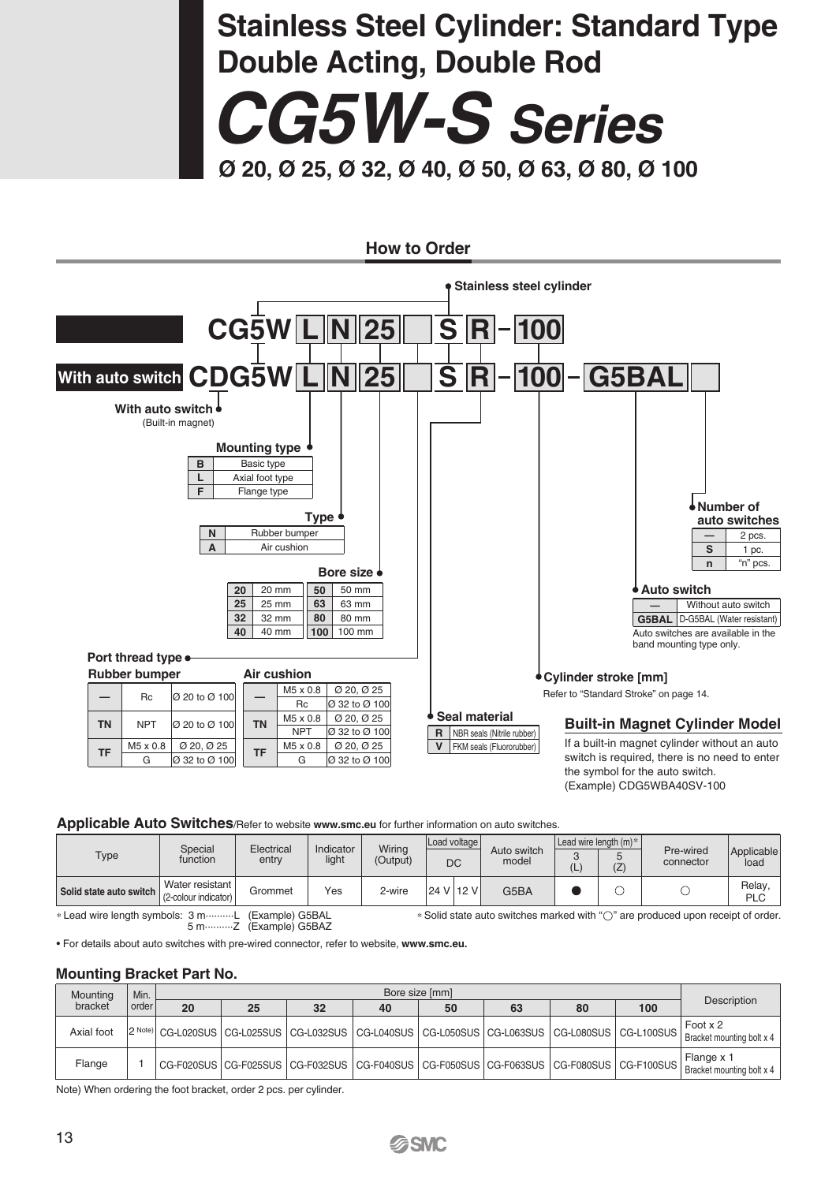# *CG5W-S Series* **Ø 20, Ø 25, Ø 32, Ø 40, Ø 50, Ø 63, Ø 80, Ø 100 Stainless Steel Cylinder: Standard Type Double Acting, Double Rod**



#### **Applicable Auto Switches**/Refer to website **www.smc.eu** for further information on auto switches.

| Type                    | Special<br>function                       | Electrical<br>entry | Indicator<br>light | Wiring<br>(Output) | Load voltage<br>DC |             | Auto switch<br>model | C<br>◟ | Lead wire length (m)*<br>(Z) | Pre-wired<br>connector | Applicable<br>load |
|-------------------------|-------------------------------------------|---------------------|--------------------|--------------------|--------------------|-------------|----------------------|--------|------------------------------|------------------------|--------------------|
| Solid state auto switch | Water resistant  <br>(2-colour indicator) | Grommet             | Yes                | 2-wire             |                    | 24 V   12 V | G5BA                 |        |                              |                        | Relay<br>PLC       |

∗ Lead wire length symbols: 3 m··········L (Example) G5BAL 5 m··········Z (Example) G5BAZ ∗ Solid state auto switches marked with " " are produced upon receipt of order.

• For details about auto switches with pre-wired connector, refer to website, **www.smc.eu.**

#### **Mounting Bracket Part No.**

| Mounting   | Min.  |    |    |    |    | Bore size [mm] |    |    |     |                                                                                                                                                  |
|------------|-------|----|----|----|----|----------------|----|----|-----|--------------------------------------------------------------------------------------------------------------------------------------------------|
| bracket    | order | 20 | 25 | 32 | 40 | 50             | 63 | 80 | 100 | Description                                                                                                                                      |
| Axial foot |       |    |    |    |    |                |    |    |     | Foot x 2<br>$2^{Noteo}$ CG-L020SUS CG-L025SUS CG-L032SUS CG-L040SUS CG-L050SUS CG-L063SUS CG-L080SUS CG-L100SUS $\frac{1}{10}$                   |
| Flange     |       |    |    |    |    |                |    |    |     | <sub>i</sub> Flange x 1<br>  CG-F020SUS CG-F025SUS CG-F032SUS CG-F040SUS CG-F050SUS CG-F063SUS CG-F080SUS CG-F100SUS   Bracket mounting bolt x 4 |

Note) When ordering the foot bracket, order 2 pcs. per cylinder.

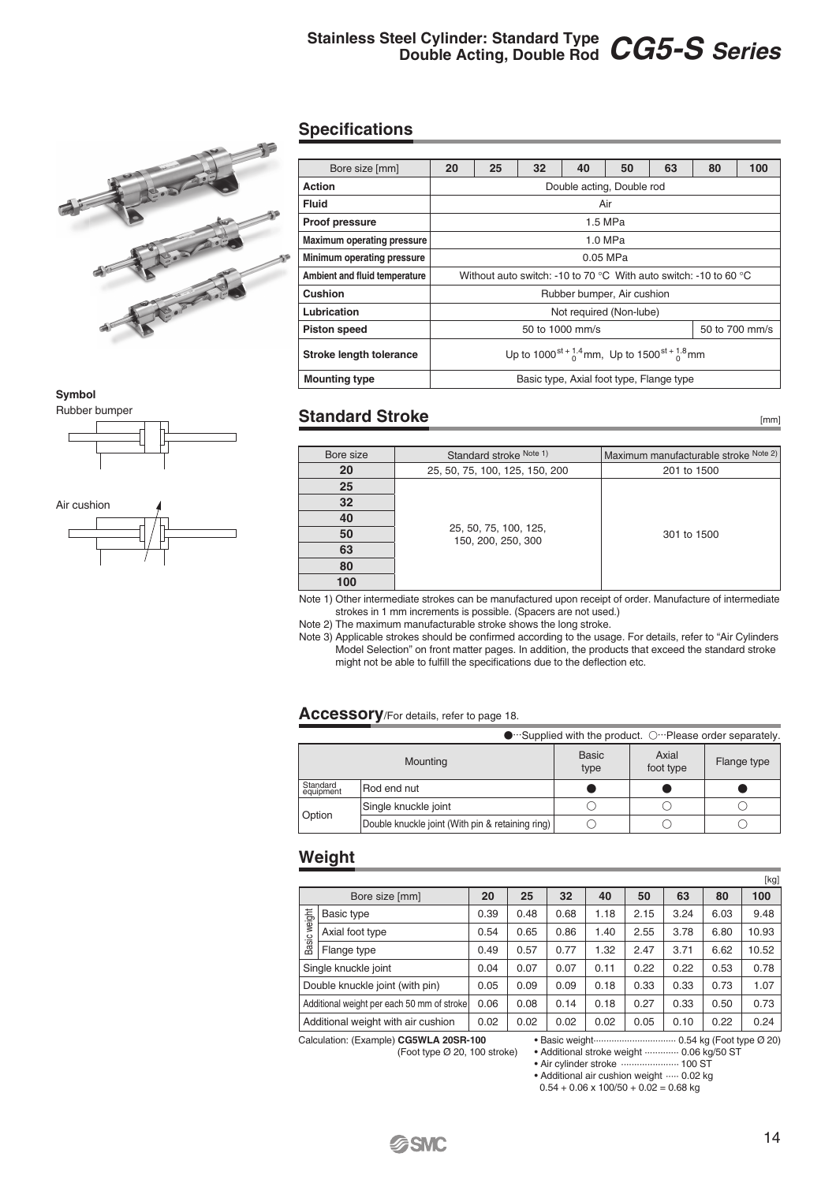# **Stainless Steel Cylinder: Standard Type Double Acting, Double Rod** *CG5-S Series*



#### **Symbol**





#### **Specifications**

| Bore size [mm]                    | 20                                                                                 | 25       | 32                                                             | 40                         | 50        | 63 | 80 | 100            |  |  |  |  |  |  |  |
|-----------------------------------|------------------------------------------------------------------------------------|----------|----------------------------------------------------------------|----------------------------|-----------|----|----|----------------|--|--|--|--|--|--|--|
| <b>Action</b>                     |                                                                                    |          |                                                                | Double acting, Double rod  |           |    |    |                |  |  |  |  |  |  |  |
| <b>Fluid</b>                      |                                                                                    |          |                                                                |                            | Air       |    |    |                |  |  |  |  |  |  |  |
| <b>Proof pressure</b>             |                                                                                    |          |                                                                |                            | 1.5 MPa   |    |    |                |  |  |  |  |  |  |  |
| <b>Maximum operating pressure</b> |                                                                                    |          |                                                                |                            | $1.0$ MPa |    |    |                |  |  |  |  |  |  |  |
| Minimum operating pressure        |                                                                                    | 0.05 MPa |                                                                |                            |           |    |    |                |  |  |  |  |  |  |  |
| Ambient and fluid temperature     | Without auto switch: -10 to 70 $\degree$ C With auto switch: -10 to 60 $\degree$ C |          |                                                                |                            |           |    |    |                |  |  |  |  |  |  |  |
| Cushion                           |                                                                                    |          |                                                                | Rubber bumper, Air cushion |           |    |    |                |  |  |  |  |  |  |  |
| Lubrication                       |                                                                                    |          |                                                                | Not required (Non-lube)    |           |    |    |                |  |  |  |  |  |  |  |
| <b>Piston speed</b>               |                                                                                    |          |                                                                | 50 to 1000 mm/s            |           |    |    | 50 to 700 mm/s |  |  |  |  |  |  |  |
| <b>Stroke length tolerance</b>    |                                                                                    |          | Up to $1000^{st + 1.4}_{o}$ mm, Up to $1500^{st + 1.8}_{o}$ mm |                            |           |    |    |                |  |  |  |  |  |  |  |
| <b>Mounting type</b>              |                                                                                    |          | Basic type, Axial foot type, Flange type                       |                            |           |    |    |                |  |  |  |  |  |  |  |

#### **Standard Stroke**

Bore size Standard stroke Note 1) Maximum manufacturable stroke Note 2) **20** 25, 50, 75, 100, 125, 150, 200 201 to 1500 **25** 25, 50, 75, 100, 125, 25, 30, 75, 100, 125,<br>150, 200, 250, 300 **32 40 50 63 80 100**

Note 1) Other intermediate strokes can be manufactured upon receipt of order. Manufacture of intermediate strokes in 1 mm increments is possible. (Spacers are not used.)

Note 2) The maximum manufacturable stroke shows the long stroke.

Note 3) Applicable strokes should be confirmed according to the usage. For details, refer to "Air Cylinders Model Selection" on front matter pages. In addition, the products that exceed the standard stroke might not be able to fulfill the specifications due to the deflection etc.

#### **Accessory**/For details, refer to page 18.

|                       |                                                  |                      |                    | $\bullet$ -Supplied with the product. $\circ$ --Please order separately. |
|-----------------------|--------------------------------------------------|----------------------|--------------------|--------------------------------------------------------------------------|
|                       | Mounting                                         | <b>Basic</b><br>type | Axial<br>foot type | Flange type                                                              |
| Standard<br>equipment | Rod end nut                                      |                      |                    |                                                                          |
| Option                | Single knuckle joint                             |                      |                    |                                                                          |
|                       | Double knuckle joint (With pin & retaining ring) |                      |                    |                                                                          |

#### **Weight**

|              |                                            |      |      |                |      |      |      |      | [kg]                            |
|--------------|--------------------------------------------|------|------|----------------|------|------|------|------|---------------------------------|
|              | Bore size [mm]                             | 20   | 25   | 32             | 40   | 50   | 63   | 80   | 100                             |
|              | Basic type                                 | 0.39 | 0.48 | 0.68           | 1.18 | 2.15 | 3.24 | 6.03 | 9.48                            |
| Basic weight | Axial foot type                            | 0.54 | 0.65 | 0.86           | 1.40 | 2.55 | 3.78 | 6.80 | 10.93                           |
|              | Flange type                                | 0.49 | 0.57 | 0.77           | 1.32 | 2.47 | 3.71 | 6.62 | 10.52                           |
|              | Single knuckle joint                       | 0.04 | 0.07 | 0.07           | 0.11 | 0.22 | 0.22 | 0.53 | 0.78                            |
|              | Double knuckle joint (with pin)            | 0.05 | 0.09 | 0.09           | 0.18 | 0.33 | 0.33 | 0.73 | 1.07                            |
|              | Additional weight per each 50 mm of stroke | 0.06 | 0.08 | 0.14           | 0.18 | 0.27 | 0.33 | 0.50 | 0.73                            |
|              | Additional weight with air cushion         | 0.02 | 0.02 | 0.02           | 0.02 | 0.05 | 0.10 | 0.22 | 0.24                            |
|              | Coloulation: (Evenina) CCEMILA 00CD 100    |      |      | a Doolo walaht |      |      |      |      | $0.54$ kg $(5.04$ time $(0.00)$ |

(Foot type Ø 20, 100 stroke)

Calculation: (Example) **CG5WLA 20SR-100** • Basic weight································ 0.54 kg (Foot type Ø 20) • Additional stroke weight ············· 0.06 kg/50 ST

• Air cylinder stroke ·························· 100 ST

• Additional air cushion weight ····· 0.02 kg

 $0.54 + 0.06 \times 100/50 + 0.02 = 0.68$  kg



[mm]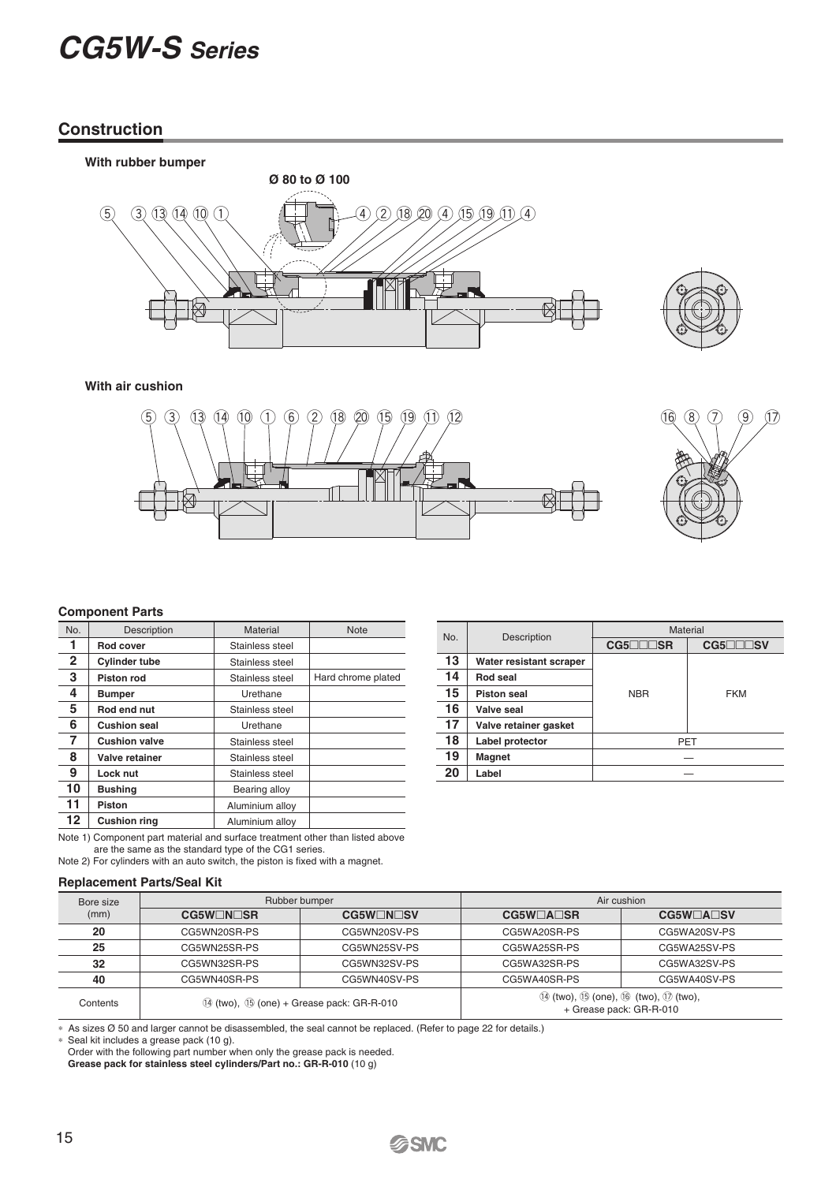# *CG5W-S Series*

#### **Construction**





#### **With air cushion**





#### **Component Parts**

| No.          | Description          | Material        | <b>Note</b>        |
|--------------|----------------------|-----------------|--------------------|
| 1            | Rod cover            | Stainless steel |                    |
| $\mathbf{2}$ | <b>Cylinder tube</b> | Stainless steel |                    |
| 3            | <b>Piston rod</b>    | Stainless steel | Hard chrome plated |
| 4            | <b>Bumper</b>        | Urethane        |                    |
| 5            | Rod end nut          | Stainless steel |                    |
| 6            | <b>Cushion seal</b>  | Urethane        |                    |
| 7            | <b>Cushion valve</b> | Stainless steel |                    |
| 8            | Valve retainer       | Stainless steel |                    |
| 9            | Lock nut             | Stainless steel |                    |
| 10           | <b>Bushing</b>       | Bearing alloy   |                    |
| 11           | Piston               | Aluminium alloy |                    |
| 12           | <b>Cushion ring</b>  | Aluminium alloy |                    |

Note 1) Component part material and surface treatment other than listed above are the same as the standard type of the CG1 series.

Note 2) For cylinders with an auto switch, the piston is fixed with a magnet.

#### **Replacement Parts/Seal Kit**

| Bore size | Rubber bumper     |                                              |                                                                                     | Air cushion             |
|-----------|-------------------|----------------------------------------------|-------------------------------------------------------------------------------------|-------------------------|
| (mm)      | <b>CG5W</b> □N□SR | <b>CG5W</b> □N□SV                            | $CG5W\Box A \Box SR$                                                                | <b>CG5W</b> □A□SV       |
| 20        | CG5WN20SR-PS      | CG5WN20SV-PS                                 | CG5WA20SR-PS                                                                        | CG5WA20SV-PS            |
| 25        | CG5WN25SR-PS      | CG5WN25SV-PS                                 | CG5WA25SR-PS                                                                        | CG5WA25SV-PS            |
| 32        | CG5WN32SR-PS      | CG5WN32SV-PS                                 | CG5WA32SR-PS                                                                        | CG5WA32SV-PS            |
| 40        | CG5WN40SR-PS      | CG5WN40SV-PS                                 | CG5WA40SR-PS                                                                        | CG5WA40SV-PS            |
| Contents  |                   | (14 (two), (15 (one) + Grease pack: GR-R-010 | $\mathcal{F}$ (two), $\mathcal{F}$ (one), $\mathcal{F}$ (two), $\mathcal{D}$ (two), | + Grease pack: GR-R-010 |

∗ As sizes Ø 50 and larger cannot be disassembled, the seal cannot be replaced. (Refer to page 22 for details.)

Seal kit includes a grease pack (10 g).

Order with the following part number when only the grease pack is needed. **Grease pack for stainless steel cylinders/Part no.: GR-R-010** (10 g)

| No. | Description             | Material   |            |
|-----|-------------------------|------------|------------|
|     |                         | CG5□□□SR   | CG5□□□SV   |
| 13  | Water resistant scraper |            |            |
| 14  | Rod seal                |            |            |
| 15  | <b>Piston seal</b>      | <b>NBR</b> | <b>FKM</b> |
| 16  | Valve seal              |            |            |
| 17  | Valve retainer gasket   |            |            |
| 18  | Label protector         |            | PET        |
| 19  | <b>Magnet</b>           |            |            |
| 20  | Label                   |            |            |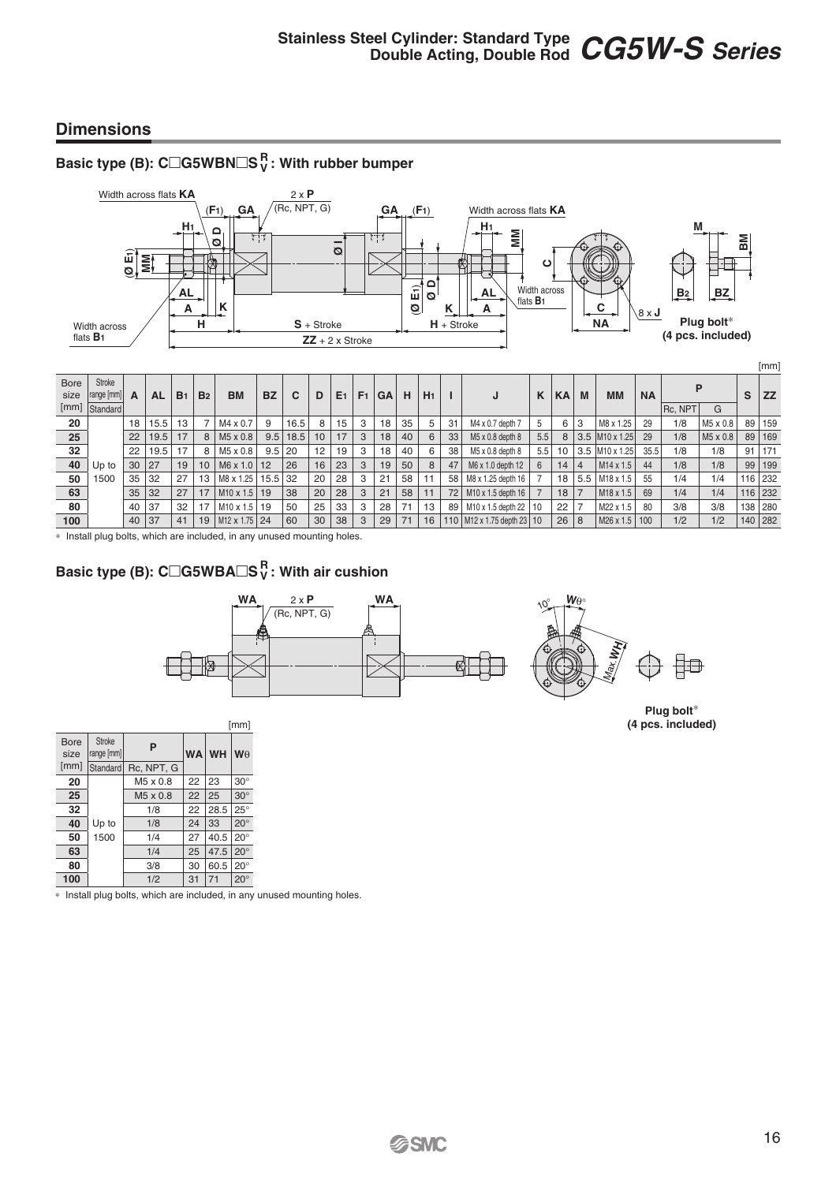#### **Dimensions**

#### **Basic type (B): CG5WBNS : With rubber bumper R V**



| 50  | 500 | 35 | 32 | 27 | $\overline{10}$ | M8 x 1.25                 | $15.5$ 32 |    | 20 | 28       | $\sim$ | 21 | 58 |    | 58              | M8 x 1.25 depth 16             |    | $\Delta$<br>18 | 15.5 | M18                   |     | 1/4 | 1/4 | $116$ . | 232 |
|-----|-----|----|----|----|-----------------|---------------------------|-----------|----|----|----------|--------|----|----|----|-----------------|--------------------------------|----|----------------|------|-----------------------|-----|-----|-----|---------|-----|
| 63  |     | 35 | 32 | 27 |                 | $M10 \times 1.5$          | 19        | 38 | 20 | 28       |        | 21 | 58 |    | 72              | M <sub>10</sub> x 1.5 depth 16 |    | 18             |      | M <sub>18</sub> x 1.5 | 69  | 1/4 | 1/4 | 116 232 |     |
| 80  |     | 40 | 37 | 32 |                 | M <sub>10</sub> x 1.5     | 19        | 50 | 25 | っっ<br>ັບ | $\sim$ | 28 | 74 | 13 | 89 <sub>1</sub> | M <sub>10</sub> x 1.5 depth 22 | 10 | $22 \mid$      |      | M22 x 1.5             |     | 3/8 | 3/8 | 138 280 |     |
| 100 |     | 40 | 37 | 41 | 19              | M <sub>12</sub> x 1.75 24 |           | 60 | 30 | 38       |        | 29 | 74 | 16 |                 | 110 M12 x 1.75 depth 23 10     |    | 26             | 8    | M <sub>26</sub> x 1.5 | 100 | 1/2 | 1/2 | 140 282 |     |

∗ Install plug bolts, which are included, in any unused mounting holes.

#### **Basic type (B): C□G5WBA□S**<sup>R</sup>: With air cushion **V**



**Plug bolt**∗ **(4 pcs. included)**

|                     |                             |                      |    |       | [mm]         |
|---------------------|-----------------------------|----------------------|----|-------|--------------|
| <b>Bore</b><br>size | <b>Stroke</b><br>range [mm] | P                    |    | WA WH | Wθ           |
| [mm]                | Standard                    | Rc, NPT, G           |    |       |              |
| 20                  |                             | M <sub>5</sub> x 0.8 | 22 | 23    | $30^\circ$   |
| 25                  |                             | M <sub>5</sub> x 0.8 | 22 | 25    | $30^\circ$   |
| 32                  |                             | 1/8                  | 22 | 28.5  | $25^{\circ}$ |
| 40                  | Up to                       | 1/8                  | 24 | 33    | $20^{\circ}$ |
| 50                  | 1500                        | 1/4                  | 27 | 40.5  | $20^{\circ}$ |
| 63                  |                             | 1/4                  | 25 | 47.5  | $20^{\circ}$ |
| 80                  |                             | 3/8                  | 30 | 60.5  | $20^{\circ}$ |
| 100                 |                             | 1/2                  | 31 | 71    | $20^{\circ}$ |

∗ Install plug bolts, which are included, in any unused mounting holes.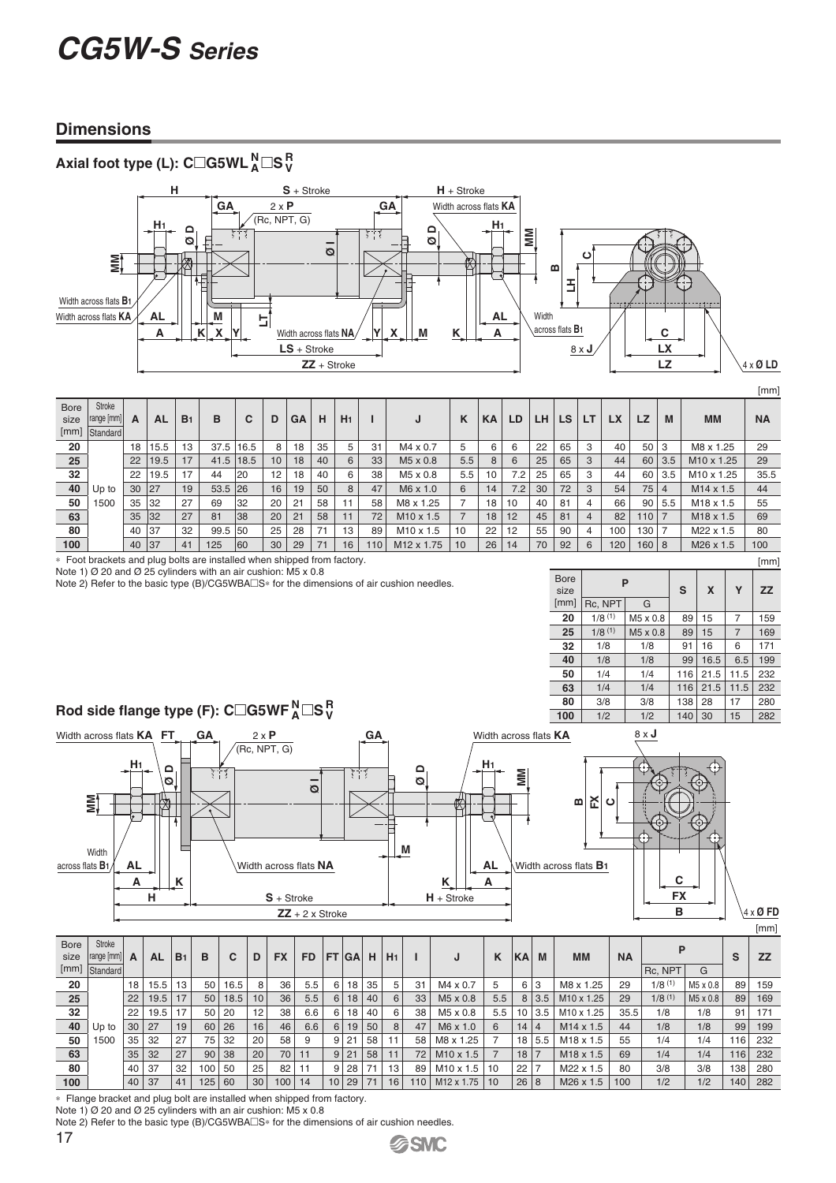# *CG5W-S Series*

#### **Dimensions**



**SSMC** 

Flange bracket and plug bolt are installed when shipped from factory

Note 1) Ø 20 and Ø 25 cylinders with an air cushion: M5 x 0.8

Note 2) Refer to the basic type (B)/CG5WBA $□S<sup>*</sup>$  for the dimensions of air cushion needles.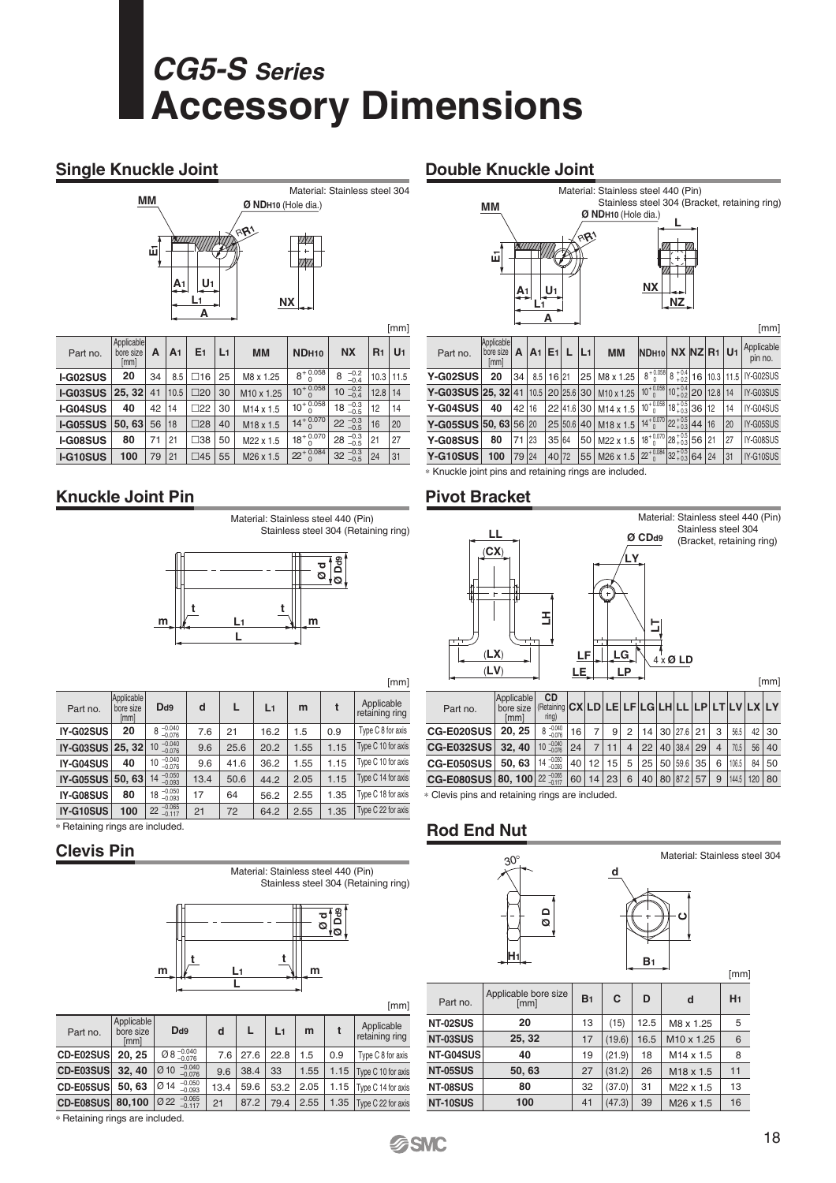# *CG5-S Series* **Accessory Dimensions**



|                 |                               |    |                |                |                |                       |                   |                            |                | [mm]           |
|-----------------|-------------------------------|----|----------------|----------------|----------------|-----------------------|-------------------|----------------------------|----------------|----------------|
| Part no.        | Applicable<br>bore size<br>mm | A  | A <sub>1</sub> | E <sub>1</sub> | L <sub>1</sub> | <b>MM</b>             | ND <sub>H10</sub> | <b>NX</b>                  | R <sub>1</sub> | U <sub>1</sub> |
| I-G02SUS        | 20                            | 34 | 8.5            | $\square$ 16   | 25             | M8 x 1.25             | $8 + 0.058$       | $8 \t -0.2 \t -0.4$        |                | $10.3$   11.5  |
| I-G03SUS        | 25, 32                        | 41 | 10.5           | $\square$ 20   | 30             | M10 x 1.25            | $10+0.058$        | $10^{-0.2}_{-0.4}$         | 12.8           | 14             |
| I-G04SUS        | 40                            | 42 | 14             | $\square$ 22   | 30             | M <sub>14</sub> x 1.5 | $10+0.058$        | $18 - 0.3$ <sub>-0.5</sub> | 12             | 14             |
| <b>I-G05SUS</b> | 50, 63                        | 56 | 18             | $\square$ 28   | 40             | M18 x 1.5             | $14 + 0.070$      | $22 - 0.3$                 | 16             | 20             |
| I-G08SUS        | 80                            | 71 | 21             | □38            | 50             | M22 x 1.5             | $18+\sqrt{0.070}$ | $28 - 0.3$                 | 21             | 27             |
| I-G10SUS        | 100                           | 79 | 21             | $\square$ 45   | 55             | M <sub>26</sub> x 1.5 | $22^{+0.084}_{0}$ | 32 $^{-0.3}_{-0.5}$        | 24             | 31             |

#### **Single Knuckle Joint Communist Communist Communist Communist Communist Communist Communist Communist Communist Communist Communist Communist Communist Communist Communist Communist Communist Communist Communist Communist**

|                 | MМ<br>ŵ                                               | A1 |                | U1<br>Α        |         | RR1            | Material: Stainless steel 440 (Pin)<br>Ø NDн10 (Hole dia.) | <b>NX</b>              | NZ                 |    |      |                | Stainless steel 304 (Bracket, retaining ring) |
|-----------------|-------------------------------------------------------|----|----------------|----------------|---------|----------------|------------------------------------------------------------|------------------------|--------------------|----|------|----------------|-----------------------------------------------|
|                 |                                                       |    |                |                |         |                |                                                            |                        |                    |    |      |                | [mm]                                          |
| Part no.        | Applicable<br>bore size<br>[mm]                       | A  | A <sub>1</sub> | E <sub>1</sub> | L       | L <sub>1</sub> | <b>MM</b>                                                  | ND <sub>H10</sub>      | $NX$ $NZ$ $R_1$    |    |      | U <sub>1</sub> | Applicable<br>pin no.                         |
| <b>Y-G02SUS</b> | 20                                                    | 34 | 8.5            | 16 21          |         | 25             | M8 x 1.25                                                  | $8 + 0.058$<br>n       | $8^{+0.4}_{+0.2}$  | 16 | 10.3 | 11.5           | IY-G02SUS                                     |
| Y-G03SUS 25, 32 |                                                       | 41 | 10.5           |                | 20 25.6 | 30             | M <sub>10</sub> x 1.25                                     | $10^{+0.058}_{-0.058}$ | $10^{+0.4}_{+0.2}$ | 20 | 12.8 | 14             | IY-G03SUS                                     |
| <b>Y-G04SUS</b> | 40                                                    | 42 | 16             |                | 22 41.6 | 30             | M14 x 1.5                                                  | $10^{+0.058}$<br>Λ     | $18^{+0.5}_{+0.3}$ | 36 | 12   | 14             | IY-G04SUS                                     |
| Y-G05SUS 50, 63 |                                                       | 56 | 20             |                | 25 50.6 | 40             | M <sub>18</sub> x 1.5                                      | $14 + 0.070$           | $22^{+0.5}_{+0.3}$ | 44 | 16   | 20             | IY-G05SUS                                     |
| <b>Y-G08SUS</b> | 80                                                    | 71 | 23             | 35 64          |         | 50             | M22 x 1.5                                                  | $18^{+0.070}_{0}$      | $28^{+0.5}_{+0.3}$ | 56 | 21   | 27             | IY-G08SUS                                     |
| <b>Y-G10SUS</b> | 100                                                   | 79 | 24             | 40 72          |         | 55             | M <sub>26</sub> x 1.5                                      | $22^{+0.084}$          | $32^{+0.5}_{+0.3}$ | 64 | 24   | 31             | IY-G10SUS                                     |
|                 | u Knuaklo joint ning and rotaining rings are ingluded |    |                |                |         |                |                                                            |                        |                    |    |      |                |                                               |

#### **Knuckle Joint Pin Pin Pin Rivot Bracket**

Material: Stainless steel 440 (Pin) Stainless steel 304 (Retaining ring)



|                  |                                 |                            |      |      |                |      |      | ,,,,,,,,                     |
|------------------|---------------------------------|----------------------------|------|------|----------------|------|------|------------------------------|
| Part no.         | Applicable<br>bore size<br>[mm] | D <sub>d9</sub>            | d    | L    | L <sub>1</sub> | m    | t    | Applicable<br>retaining ring |
| IY-G02SUS        | 20                              | $-0.040$<br>8<br>$-0.076$  | 7.6  | 21   | 16.2           | 1.5  | 0.9  | Type C 8 for axis            |
| IY-G03SUS 25, 32 |                                 | $-0.040$<br>10<br>$-0.076$ | 9.6  | 25.6 | 20.2           | 1.55 | 1.15 | Type C 10 for axis           |
| IY-G04SUS        | 40                              | $-0.040$<br>10<br>$-0.076$ | 9.6  | 41.6 | 36.2           | 1.55 | 1.15 | Type C 10 for axis           |
| <b>IY-G05SUS</b> | 50, 63                          | $-0.050$<br>$-0.093$<br>14 | 13.4 | 50.6 | 44.2           | 2.05 | 1.15 | Type C 14 for axis           |
| IY-G08SUS        | 80                              | $-0.050$<br>18<br>$-0.093$ | 17   | 64   | 56.2           | 2.55 | 1.35 | Type C 18 for axis           |
| IY-G10SUS        | 100                             | $22 - 0.065$<br>$-0.117$   | 21   | 72   | 64.2           | 2.55 | 1.35 | Type C 22 for axis           |

∗ Retaining rings are included.

#### **Clevis Pin**

Material: Stainless steel 440 (Pin) Stainless steel 304 (Retaining ring)



|           |                                 |                                         |      |      |      |      |      | [mm]                         |
|-----------|---------------------------------|-----------------------------------------|------|------|------|------|------|------------------------------|
| Part no.  | Applicable<br>bore size<br>[mm] | D <sub>d9</sub>                         | d    |      |      | m    |      | Applicable<br>retaining ring |
| CD-E02SUS | 20, 25                          | $\emptyset$ 8 $^{-0.040}_{-0.076}$      | 7.6  | 27.6 | 22.8 | 1.5  | 0.9  | Type C 8 for axis            |
| CD-E03SUS | 32.40                           | $-0.040$<br>$Ø$ 10<br>$-0.076$          | 9.6  | 38.4 | 33   | 1.55 | 1.15 | Type C 10 for axis           |
| CD-E05SUS | 50.63                           | $-0.050$<br>Ø14<br>$-0.093$             | 13.4 | 59.6 | 53.2 | 2.05 | 1.15 | Type C 14 for axis           |
| CD-E08SUS | 80,100                          | $-0.065$<br>Ø <sub>22</sub><br>$-0.117$ | 21   | 87.2 | 79.4 | 2.55 | 1.35 | Type C 22 for axis           |
|           |                                 |                                         |      |      |      |      |      |                              |

∗ Retaining rings are included.

| * Knuckle joint pins and retaining rings are included. |  |  |  |  |
|--------------------------------------------------------|--|--|--|--|
|                                                        |  |  |  |  |



23 6 40 80 87.2 57 40 12  $CG$ -E080SUS 80, 100  $22 \frac{10085}{-0.117}$  60 14 **50, 63 CG-E050SUS** 14 –0.050 –0.093

∗ Clevis pins and retaining rings are included.

### **Rod End Nut**

**SSMC** 



 $\overline{9}$ 

144.5

120 80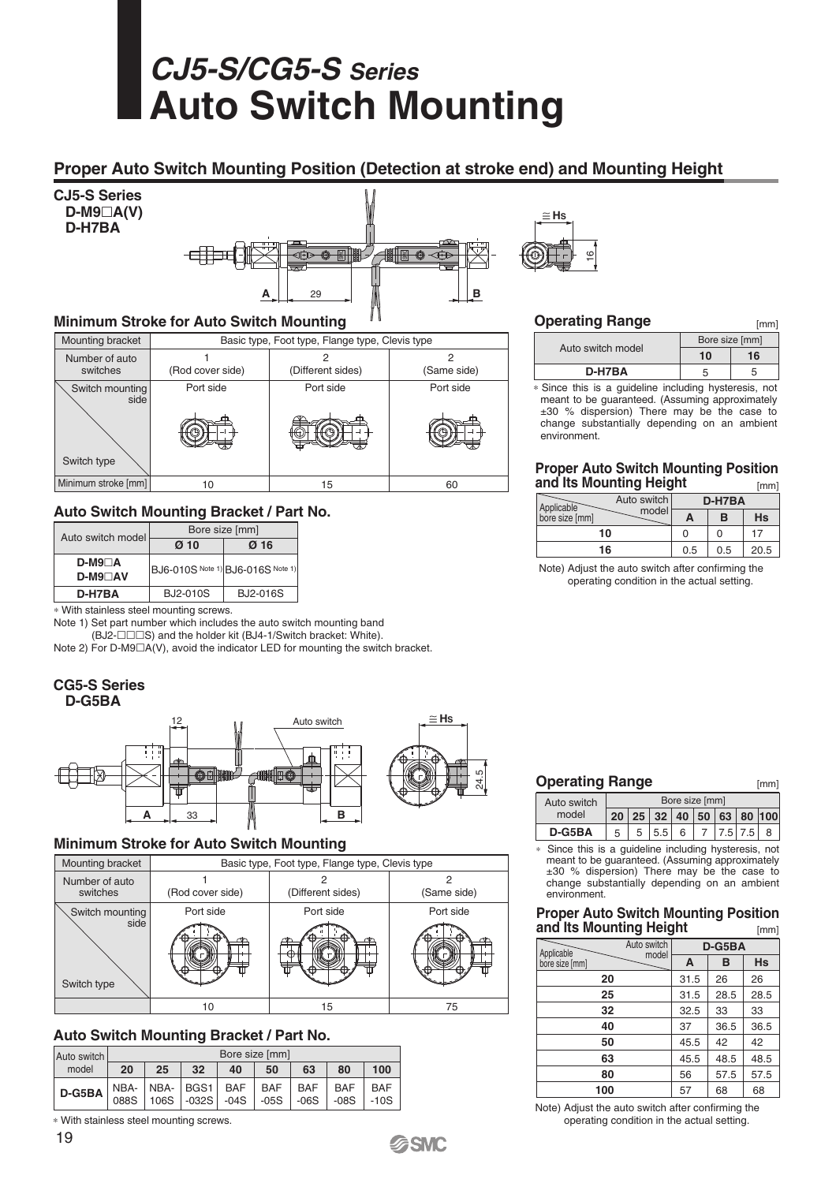# *CJ5-S/CG5-S Series* **Auto Switch Mounting**

#### **Proper Auto Switch Mounting Position (Detection at stroke end) and Mounting Height**



#### **Minimum Stroke for Auto Switch Mounting**

| Mounting bracket        | Basic type, Foot type, Flange type, Clevis type |                   |             |  |  |  |  |  |
|-------------------------|-------------------------------------------------|-------------------|-------------|--|--|--|--|--|
| Number of auto          |                                                 |                   |             |  |  |  |  |  |
| switches                | (Rod cover side)                                | (Different sides) | (Same side) |  |  |  |  |  |
| Switch mounting<br>side | Port side                                       | Port side         | Port side   |  |  |  |  |  |
| Switch type             |                                                 |                   |             |  |  |  |  |  |
| Minimum stroke [mm]     | 10                                              | 15                | 60          |  |  |  |  |  |

#### **Auto Switch Mounting Bracket / Part No.**

| Auto switch model |                                 | Bore size [mm]                    |                 |  |  |  |
|-------------------|---------------------------------|-----------------------------------|-----------------|--|--|--|
|                   |                                 | $Ø$ 10                            | Ø 16            |  |  |  |
|                   | $D-M9\Box A$<br><b>D-M9</b> □AV | BJ6-010S Note 1) BJ6-016S Note 1) |                 |  |  |  |
|                   | D-H7BA                          | <b>BJ2-010S</b>                   | <b>BJ2-016S</b> |  |  |  |
|                   |                                 |                                   |                 |  |  |  |

∗ With stainless steel mounting screws.

Note 1) Set part number which includes the auto switch mounting band

(BJ2-□□S) and the holder kit (BJ4-1/Switch bracket: White). Note 2) For D-M9□A(V), avoid the indicator LED for mounting the switch bracket.

#### **CG5-S Series D-G5BA**

 **D-H7BA**



#### **Minimum Stroke for Auto Switch Mounting**

| Mounting bracket                       | Basic type, Foot type, Flange type, Clevis type |                   |             |  |  |  |  |  |
|----------------------------------------|-------------------------------------------------|-------------------|-------------|--|--|--|--|--|
| Number of auto<br>switches             | (Rod cover side)                                | (Different sides) | (Same side) |  |  |  |  |  |
| Switch mounting<br>side<br>Switch type | Port side                                       | Port side<br>Œ    | Port side   |  |  |  |  |  |
|                                        |                                                 | 15                | 75          |  |  |  |  |  |

#### **Auto Switch Mounting Bracket / Part No.**

| Auto switch | Bore size [mm] |      |                      |               |                      |                      |                      |                      |  |  |
|-------------|----------------|------|----------------------|---------------|----------------------|----------------------|----------------------|----------------------|--|--|
| model       | 20             | 25   | 32                   | 40            | 50                   | 63                   | 80                   | 100                  |  |  |
| D-G5BA      | NBA-<br>088S   | 106S | NBA- BGS1<br>$-032S$ | BAF<br>$-04S$ | <b>BAF</b><br>$-05S$ | <b>BAF</b><br>$-06S$ | <b>BAF</b><br>$-08S$ | <b>BAF</b><br>$-10S$ |  |  |
|             |                |      |                      |               |                      |                      |                      |                      |  |  |

∗ With stainless steel mounting screws.



#### **Operating Range** [mm]

| Auto switch model | Bore size [mm] |    |  |  |
|-------------------|----------------|----|--|--|
|                   | $10 -$         | 16 |  |  |
| D-H7BA            |                |    |  |  |

∗ Since this is a guideline including hysteresis, not meant to be guaranteed. (Assuming approximately ±30 % dispersion) There may be the case to change substantially depending on an ambient environment.

#### [mm] **Proper Auto Switch Mounting Position and Its Mounting Height**

|                           |     |        | .         |
|---------------------------|-----|--------|-----------|
| Auto switch<br>Applicable |     | D-H7BA |           |
| model<br>bore size [mm]   | А   | в      | <b>Hs</b> |
| 10                        |     |        | 17        |
| 16                        | 0.5 | 0.5    | 20.5      |

Note) Adjust the auto switch after confirming the operating condition in the actual setting.

| <b>Operating Range</b><br>[mm] |             |                |   |                          |   |  |               |  |  |
|--------------------------------|-------------|----------------|---|--------------------------|---|--|---------------|--|--|
|                                | Auto switch | Bore size [mm] |   |                          |   |  |               |  |  |
|                                | model       |                |   | 20 25 32 40 50 63 80 100 |   |  |               |  |  |
|                                | D-G5BA      | 5              | 5 | 5.5                      | 6 |  | 7   7.5   7.5 |  |  |

Since this is a guideline including hysteresis, not meant to be guaranteed. (Assuming approximately ±30 % dispersion) There may be the case to change substantially depending on an ambient environment.

#### [mm] **Proper Auto Switch Mounting Position and Its Mounting Height**

| Applicable     | Auto switch |      | D-G5BA |           |
|----------------|-------------|------|--------|-----------|
| bore size [mm] | model       | A    | в      | <b>Hs</b> |
| 20             |             | 31.5 | 26     | 26        |
| 25             |             | 31.5 | 28.5   | 28.5      |
| 32             |             | 32.5 | 33     | 33        |
| 40             |             | 37   | 36.5   | 36.5      |
| 50             |             | 45.5 | 42     | 42        |
| 63             |             | 45.5 | 48.5   | 48.5      |
| 80             |             | 56   | 57.5   | 57.5      |
| 100            |             | 57   | 68     | 68        |

Note) Adjust the auto switch after confirming the operating condition in the actual setting.

**SSMC**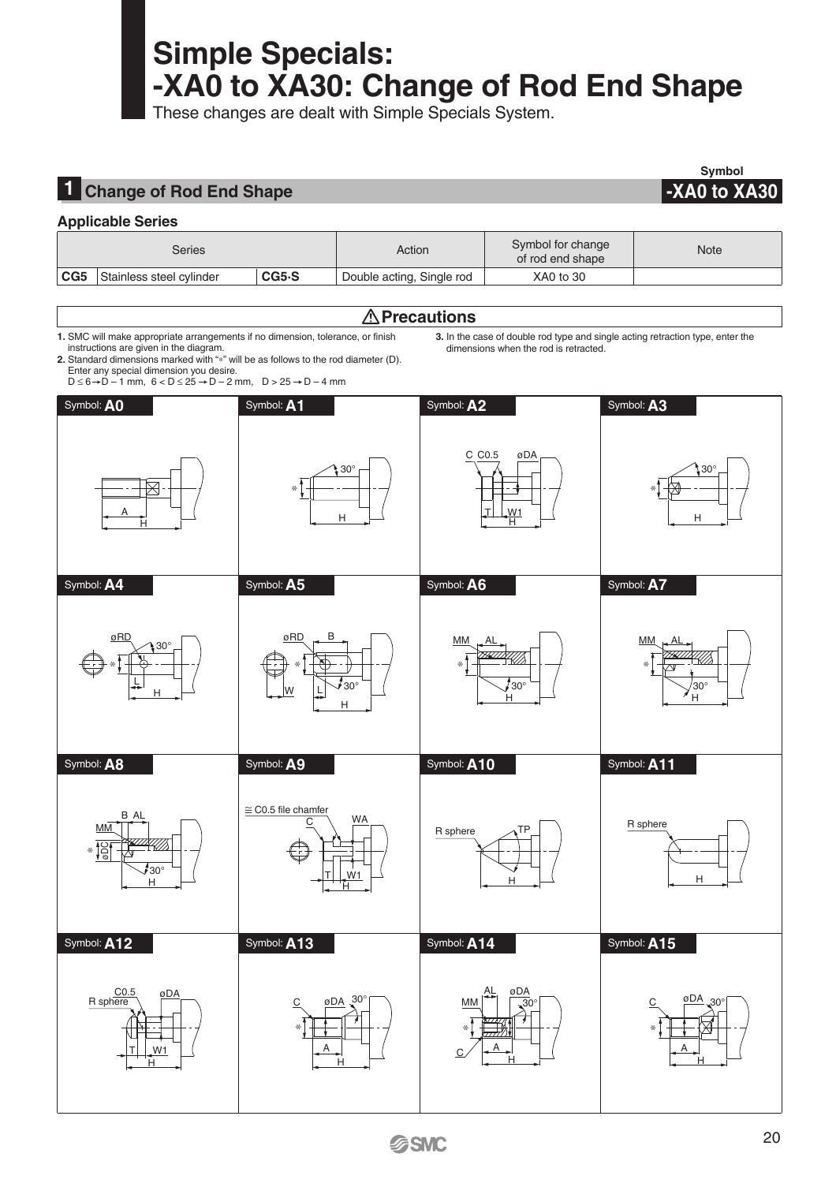# **Simple Specials: -XA0 to XA30: Change of Rod End Shape**

These changes are dealt with Simple Specials System.

## **1 Change of Rod End Shape**

| Symbol       |  |
|--------------|--|
| -XA0 to XA30 |  |

#### **Applicable Series** Action Symbol for change Series Symbol for change<br>of rod end shape **CG5** Stainless steel cylinder **CG5.S** Double acting, Single rod XA0 to 30 **Precautions 3.** In the case of double rod type and single acting retraction type, enter the **1.** SMC will make appropriate arrangements if no dimension, tolerance, or finish dimensions when the rod is retracted. instructions are given in the diagram. **2.** Standard dimensions marked with "∗" will be as follows to the rod diameter (D). Enter any special dimension you desire.  $D \le 6 \rightarrow D - 1$  mm,  $6 < D \le 25 \rightarrow D - 2$  mm,  $D > 25 \rightarrow D - 4$  mm Symbol: **A0** Symbol: **A1** Symbol: **A2** Symbol: **A3**  $C$   $C0.5$   $gD$ 30° 30° ∗∗A T <u>W1</u> H <sup>H</sup> <sup>H</sup> <sup>H</sup> Symbol: **A4** Symbol: **A5** Symbol: **A6** Symbol: **A7**  $\overline{\text{ORD}}$  and  $\overline{\text{ORD}}$   $\overline{\text{B}}$   $\overline{\text{B}}$   $\overline{\text{AD}}$   $\overline{\text{B}}$   $\overline{\text{AD}}$   $\overline{\text{AD}}$   $\overline{\text{AD}}$   $\overline{\text{AD}}$   $\overline{\text{AD}}$   $\overline{\text{AD}}$   $\overline{\text{AD}}$   $\overline{\text{AD}}$   $\overline{\text{AD}}$   $\overline{\text{AD}}$   $\overline{\text{AD}}$   $\overline{\text{AD}}$   $\overline{\text{AD}}$   $\overline{\text{AD$  $MN$ 30° **14777** 4// ∗∗∗∗L 30° 30° 30° W L  $\overline{H}$ H H H Symbol: **A8** Symbol: **A9** Symbol: **A10** Symbol: **A11**  $\approx$  C0.5 file chamfe B AL <u>C</u> WA R sphere R sphere MM TP øDC ∗ $30^{\circ}$ <u>T W1</u> <u>ゖ゠</u>╎─┘ │ ╼╀<sup>나</sup>┼╉<sup>Ÿ┸</sup>▕▔<sup>▘</sup> │ │<sub>◆──</sub>H <sub>★</sub>│─┴ │ │<sub>◆──</sub><u>╄</u> H H Symbol: **A12** Symbol: **A13** Symbol: **A14** Symbol: **A15** R sphere AL øDA<br>I an∘l C øDA C0.5 30° 30° 30° øDA  $C \qquad \text{QDA} \searrow^{\text{OU}}$  \ | MM øDA  $\overline{c}$ ∗∗∗ $A$ ,  $A$   $A$ ,  $A$ ,  $A$  $W<sub>1</sub>$ C H H  $\overline{H}$ H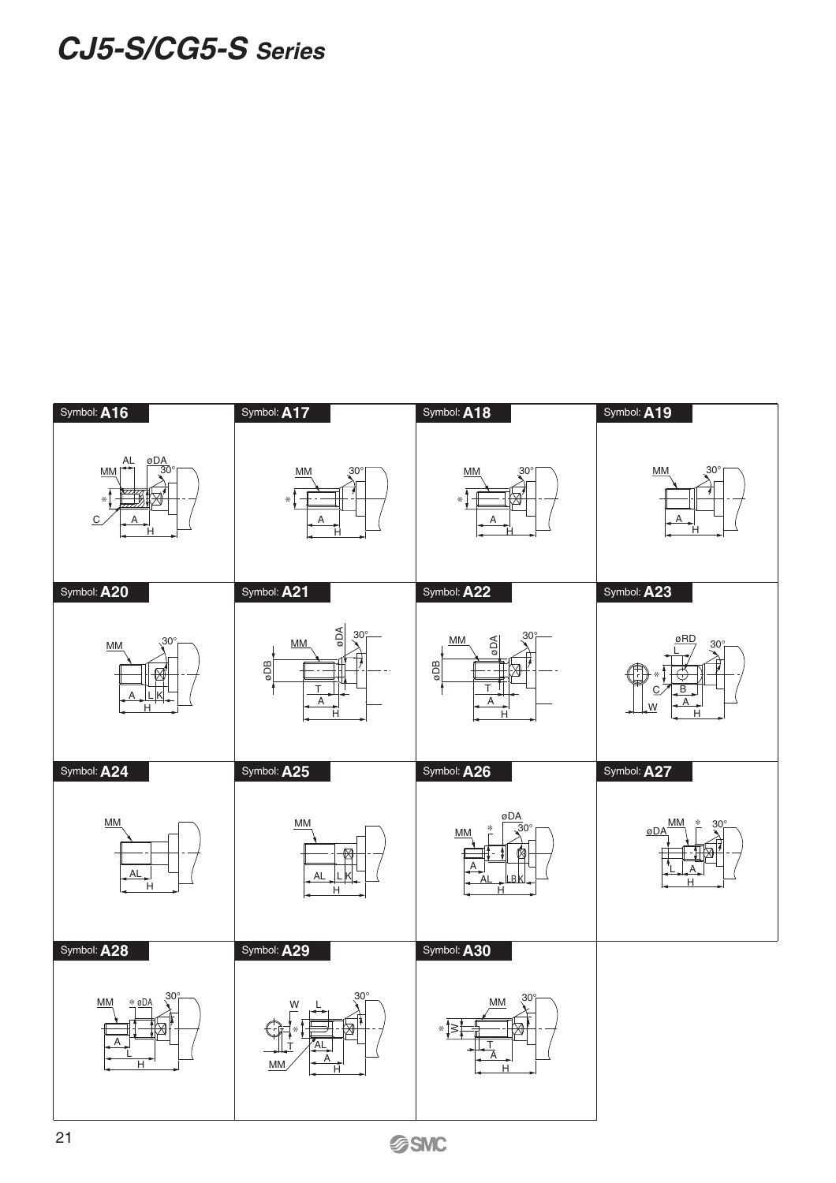# *CJ5-S/CG5-S Series*



**SSMC**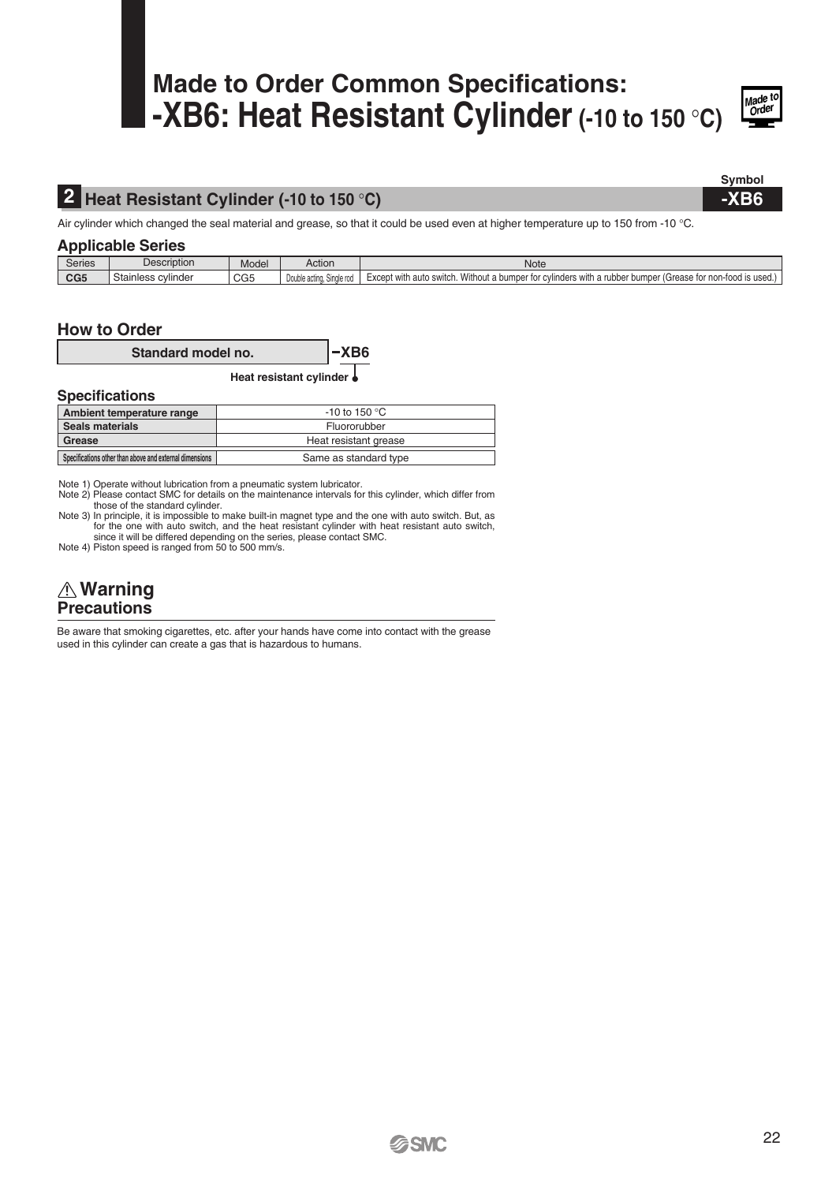# **Made to Order Common Specifications: -XB6: Heat Resistant Cylinder (-10 to 150** °**C)**



**Symbol**

### **2 Heat Resistant Cylinder (-10 to 150** °**C) -XB6**

Air cylinder which changed the seal material and grease, so that it could be used even at higher temperature up to 150 from -10 °C.

**XB6**

#### **Applicable Series**

| <b>Series</b>   | $\cdots$<br>Description | Model         | <b>Action</b>                  | Note                                                                                                                                                        |  |  |  |  |  |
|-----------------|-------------------------|---------------|--------------------------------|-------------------------------------------------------------------------------------------------------------------------------------------------------------|--|--|--|--|--|
| CG <sub>5</sub> | Stainless cylinder      | $\sim$<br>სსხ | Double acting<br>a. Sinale rod | Without<br>Grease for non-food is used.)<br>`switch.<br>Except<br>: a bumper<br>tor<br>$\sim$<br>cvlinders<br>r bumper<br>----<br>ı rubbel<br>with a<br>auw |  |  |  |  |  |

#### **How to Order**

**Standard model no.**

**Heat resistant cylinder**

#### **Specifications**

| Ambient temperature range                               | -10 to 150 $^{\circ}$ C $^{\circ}$ |  |  |  |
|---------------------------------------------------------|------------------------------------|--|--|--|
| <b>Seals materials</b>                                  | Fluororubber                       |  |  |  |
| Grease                                                  | Heat resistant grease              |  |  |  |
| Specifications other than above and external dimensions | Same as standard type              |  |  |  |

Note 1) Operate without lubrication from a pneumatic system lubricator.

Note 2) Please contact SMC for details on the maintenance intervals for this cylinder, which differ from those of the standard cylinder.

Note 3) In principle, it is impossible to make built-in magnet type and the one with auto switch. But, as for the one with auto switch, and the heat resistant cylinder with heat resistant auto switch, since it will be differed depending on the series, please contact SMC.

Note 4) Piston speed is ranged from 50 to 500 mm/s.

#### **Precautions Warning**

Be aware that smoking cigarettes, etc. after your hands have come into contact with the grease used in this cylinder can create a gas that is hazardous to humans.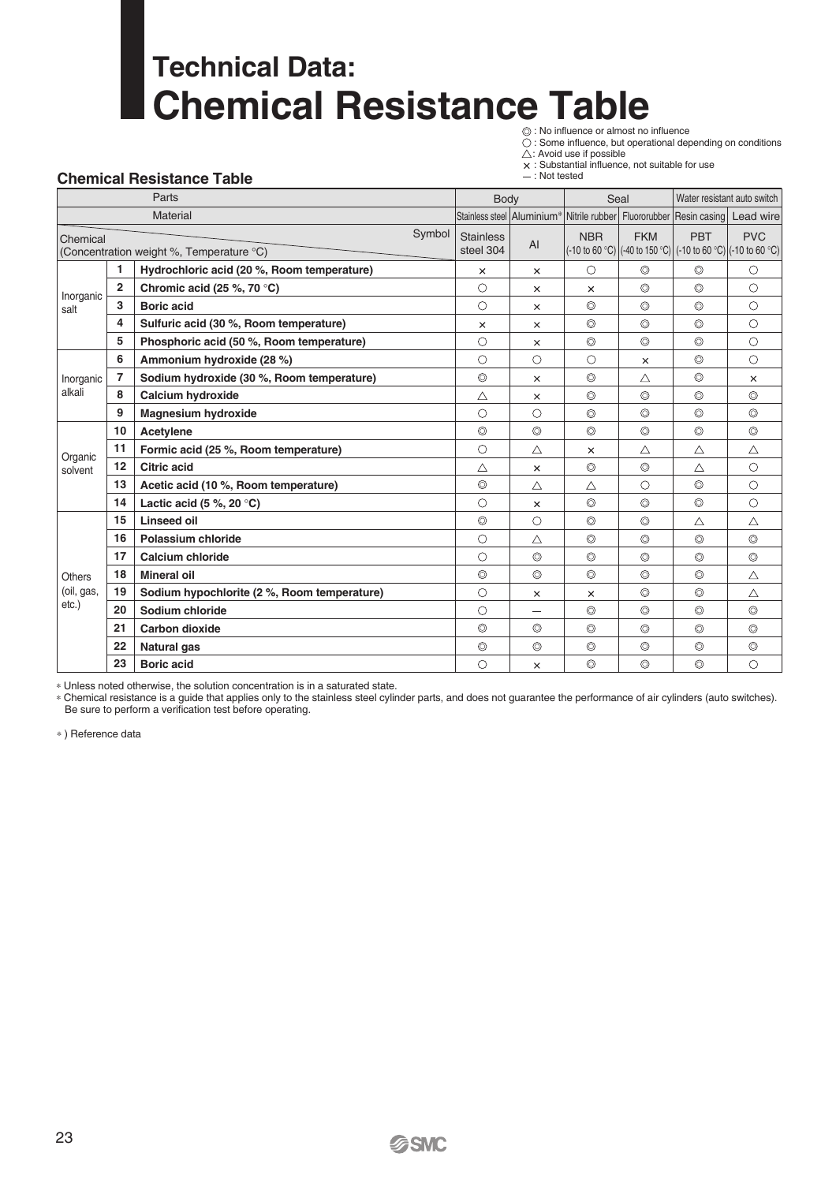**Technical Data: Chemical Resistance Table**

: No influence or almost no influence

#### **Chemical Resistance Table**

: Not tested

| Parts                                                          |                |                                             | <b>Body</b>                   |                | Seal           |                | Water resistant auto switch                                                            |                |
|----------------------------------------------------------------|----------------|---------------------------------------------|-------------------------------|----------------|----------------|----------------|----------------------------------------------------------------------------------------|----------------|
| <b>Material</b>                                                |                |                                             |                               |                |                |                | Stainless steel Aluminium* Nitrile rubber Fluororubber Resin casing                    | Lead wire      |
| Symbol<br>Chemical<br>(Concentration weight %, Temperature °C) |                |                                             | <b>Stainless</b><br>steel 304 | AI             | <b>NBR</b>     | <b>FKM</b>     | <b>PBT</b><br>(-10 to 60 °C) $ ($ -40 to 150 °C) $ $ (-10 to 60 °C) $ $ (-10 to 60 °C) | <b>PVC</b>     |
|                                                                |                | Hydrochloric acid (20 %, Room temperature)  | $\times$                      | $\times$       | $\bigcirc$     | $\circledcirc$ | ◎                                                                                      | $\circ$        |
| Inorganic                                                      | $\overline{2}$ | Chromic acid (25 %, 70 $\degree$ C)         | $\bigcirc$                    | $\times$       | $\times$       | $\circledcirc$ | $\circledcirc$                                                                         | $\bigcirc$     |
| salt                                                           | 3              | <b>Boric acid</b>                           | $\bigcirc$                    | $\times$       | $\circledcirc$ | $\circledcirc$ | $\circledcirc$                                                                         | $\bigcirc$     |
|                                                                | 4              | Sulfuric acid (30 %, Room temperature)      | $\times$                      | X              | $\circledcirc$ | $\circledcirc$ | $\circledcirc$                                                                         | $\bigcirc$     |
|                                                                | 5              | Phosphoric acid (50 %, Room temperature)    | $\circ$                       | $\times$       | $\circledcirc$ | ◎              | $\circledcirc$                                                                         | $\circ$        |
|                                                                | 6              | Ammonium hydroxide (28 %)                   | $\bigcirc$                    | $\bigcirc$     | $\bigcirc$     | $\times$       | $\circledcirc$                                                                         | $\bigcirc$     |
| Inorganic                                                      | 7              | Sodium hydroxide (30 %, Room temperature)   | $\circledcirc$                | ×              | $\circledcirc$ | Δ              | $\circledcirc$                                                                         | $\times$       |
| alkali                                                         | 8              | <b>Calcium hydroxide</b>                    | Δ                             | $\times$       | $\circledcirc$ | $\circledcirc$ | $\circledcirc$                                                                         | $\circledcirc$ |
|                                                                | 9              | <b>Magnesium hydroxide</b>                  | $\circ$                       | $\circ$        | $\circledcirc$ | ◎              | $\circledcirc$                                                                         | $\circledcirc$ |
|                                                                | 10             | Acetylene                                   | $\circledcirc$                | $\circledcirc$ | $\circledcirc$ | $\circledcirc$ | $\circledcirc$                                                                         | $\circledcirc$ |
| Organic                                                        | 11             | Formic acid (25 %, Room temperature)        | $\circ$                       | $\triangle$    | $\times$       | $\triangle$    | $\triangle$                                                                            | $\triangle$    |
| solvent                                                        | 12             | <b>Citric acid</b>                          | $\triangle$                   | $\times$       | $\circledcirc$ | $\circledcirc$ | Δ                                                                                      | $\circ$        |
|                                                                | 13             | Acetic acid (10 %, Room temperature)        | $\circledcirc$                | $\triangle$    | Δ              | $\circ$        | $\circledcirc$                                                                         | $\bigcirc$     |
|                                                                | 14             | Lactic acid (5 %, 20 $\degree$ C)           | $\bigcirc$                    | $\times$       | $\circledcirc$ | $\circledcirc$ | $\circledcirc$                                                                         | $\circ$        |
|                                                                | 15             | <b>Linseed oil</b>                          | $\circledcirc$                | $\circ$        | $\circledcirc$ | ◎              | Δ                                                                                      | $\triangle$    |
|                                                                | 16             | Polassium chloride                          | $\circ$                       | $\triangle$    | $\circledcirc$ | $\circledcirc$ | $\circledcirc$                                                                         | $\circledcirc$ |
|                                                                | 17             | Calcium chloride                            | $\circ$                       | $\circledcirc$ | $\circledcirc$ | $\circledcirc$ | $\circledcirc$                                                                         | $\circledcirc$ |
| <b>Others</b>                                                  | 18             | <b>Mineral oil</b>                          | $\circledcirc$                | $\circledcirc$ | $\circledcirc$ | $\circledcirc$ | $\circledcirc$                                                                         | Δ              |
| (oil, gas,                                                     | 19             | Sodium hypochlorite (2 %, Room temperature) | $\circ$                       | $\times$       | $\times$       | $\circledcirc$ | $\circledcirc$                                                                         | $\triangle$    |
| $etc.$ )                                                       | 20             | Sodium chloride                             | $\circ$                       | ۰              | $\circledcirc$ | $\circledcirc$ | $\circledcirc$                                                                         | $\circledcirc$ |
|                                                                | 21             | <b>Carbon dioxide</b>                       | $\circledcirc$                | $\circledcirc$ | $\circledcirc$ | $\circledcirc$ | $\circledcirc$                                                                         | $\circledcirc$ |
|                                                                | 22             | <b>Natural gas</b>                          | $\circledcirc$                | $\circledcirc$ | $\circledcirc$ | $\circledcirc$ | $\circledcirc$                                                                         | $\circledcirc$ |
|                                                                | 23             | <b>Boric acid</b>                           | $\circ$                       | $\times$       | $\circledcirc$ | $\circledcirc$ | $\circledcirc$                                                                         | $\circ$        |

∗ Unless noted otherwise, the solution concentration is in a saturated state.

∗ Chemical resistance is a guide that applies only to the stainless steel cylinder parts, and does not guarantee the performance of air cylinders (auto switches). Be sure to perform a verification test before operating.

∗ ) Reference data

<sup>◯:</sup> Some influence, but operational depending on conditions

 $\triangle$ : Avoid use if possible : Substantial influence, not suitable for use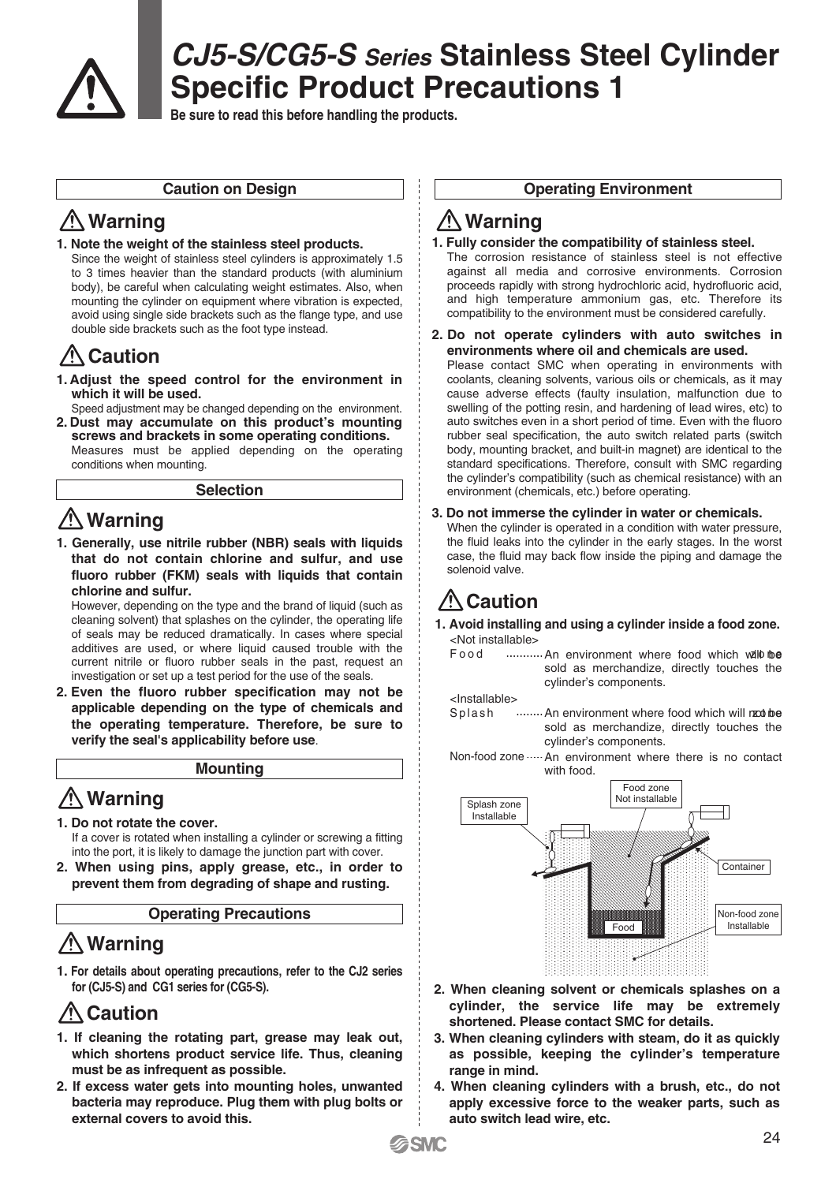

# *CJ5-S/CG5-S Series* **Stainless Steel Cylinder Specific Product Precautions 1**

**Be sure to read this before handling the products.**

# <u>∧ Warning Warning</u>

**1. Note the weight of the stainless steel products.**

Since the weight of stainless steel cylinders is approximately 1.5 to 3 times heavier than the standard products (with aluminium body), be careful when calculating weight estimates. Also, when mounting the cylinder on equipment where vibration is expected, avoid using single side brackets such as the flange type, and use double side brackets such as the foot type instead.

# **Caution**

**1. Adjust the speed control for the environment in which it will be used.**

Speed adjustment may be changed depending on the environment.

**2. Dust may accumulate on this product's mounting screws and brackets in some operating conditions.**

Measures must be applied depending on the operating conditions when mounting.

#### **Selection**

## **Warning**

**1. Generally, use nitrile rubber (NBR) seals with liquids that do not contain chlorine and sulfur, and use fluoro rubber (FKM) seals with liquids that contain chlorine and sulfur.**

However, depending on the type and the brand of liquid (such as cleaning solvent) that splashes on the cylinder, the operating life of seals may be reduced dramatically. In cases where special additives are used, or where liquid caused trouble with the current nitrile or fluoro rubber seals in the past, request an investigation or set up a test period for the use of the seals.

**2. Even the fluoro rubber specification may not be applicable depending on the type of chemicals and the operating temperature. Therefore, be sure to verify the seal's applicability before use**.

#### **Mounting**

## **Warning**

- **1. Do not rotate the cover.**
- If a cover is rotated when installing a cylinder or screwing a fitting into the port, it is likely to damage the junction part with cover.
- **2. When using pins, apply grease, etc., in order to prevent them from degrading of shape and rusting.**

#### **Operating Precautions**

# **Warning**

**1. For details about operating precautions, refer to the CJ2 series for (CJ5-S) and CG1 series for (CG5-S).**

# **Caution**

- **1. If cleaning the rotating part, grease may leak out, which shortens product service life. Thus, cleaning must be as infrequent as possible.**
- **2. If excess water gets into mounting holes, unwanted bacteria may reproduce. Plug them with plug bolts or external covers to avoid this.**

#### **Caution on Design Operating Environment**

- **1. Fully consider the compatibility of stainless steel.**
	- The corrosion resistance of stainless steel is not effective against all media and corrosive environments. Corrosion proceeds rapidly with strong hydrochloric acid, hydrofluoric acid, and high temperature ammonium gas, etc. Therefore its compatibility to the environment must be considered carefully.
- **2. Do not operate cylinders with auto switches in environments where oil and chemicals are used.**

Please contact SMC when operating in environments with coolants, cleaning solvents, various oils or chemicals, as it may cause adverse effects (faulty insulation, malfunction due to swelling of the potting resin, and hardening of lead wires, etc) to auto switches even in a short period of time. Even with the fluoro rubber seal specification, the auto switch related parts (switch body, mounting bracket, and built-in magnet) are identical to the standard specifications. Therefore, consult with SMC regarding the cylinder's compatibility (such as chemical resistance) with an environment (chemicals, etc.) before operating.

**3. Do not immerse the cylinder in water or chemicals.** When the cylinder is operated in a condition with water pressure, the fluid leaks into the cylinder in the early stages. In the worst case, the fluid may back flow inside the piping and damage the solenoid valve.

# **Caution**

**1. Avoid installing and using a cylinder inside a food zone.**  <Not installable>

Food surfamed and ironment where food which wall blue sold as merchandize, directly touches the cylinder's components.

<Installable>

Splash — …….An environment where food which will not be sold as merchandize, directly touches the cylinder's components.

Non-food zone ····· An environment where there is no contact with food.



- **2. When cleaning solvent or chemicals splashes on a cylinder, the service life may be extremely shortened. Please contact SMC for details.**
- **3. When cleaning cylinders with steam, do it as quickly as possible, keeping the cylinder's temperature range in mind.**
- **4. When cleaning cylinders with a brush, etc., do not apply excessive force to the weaker parts, such as auto switch lead wire, etc.**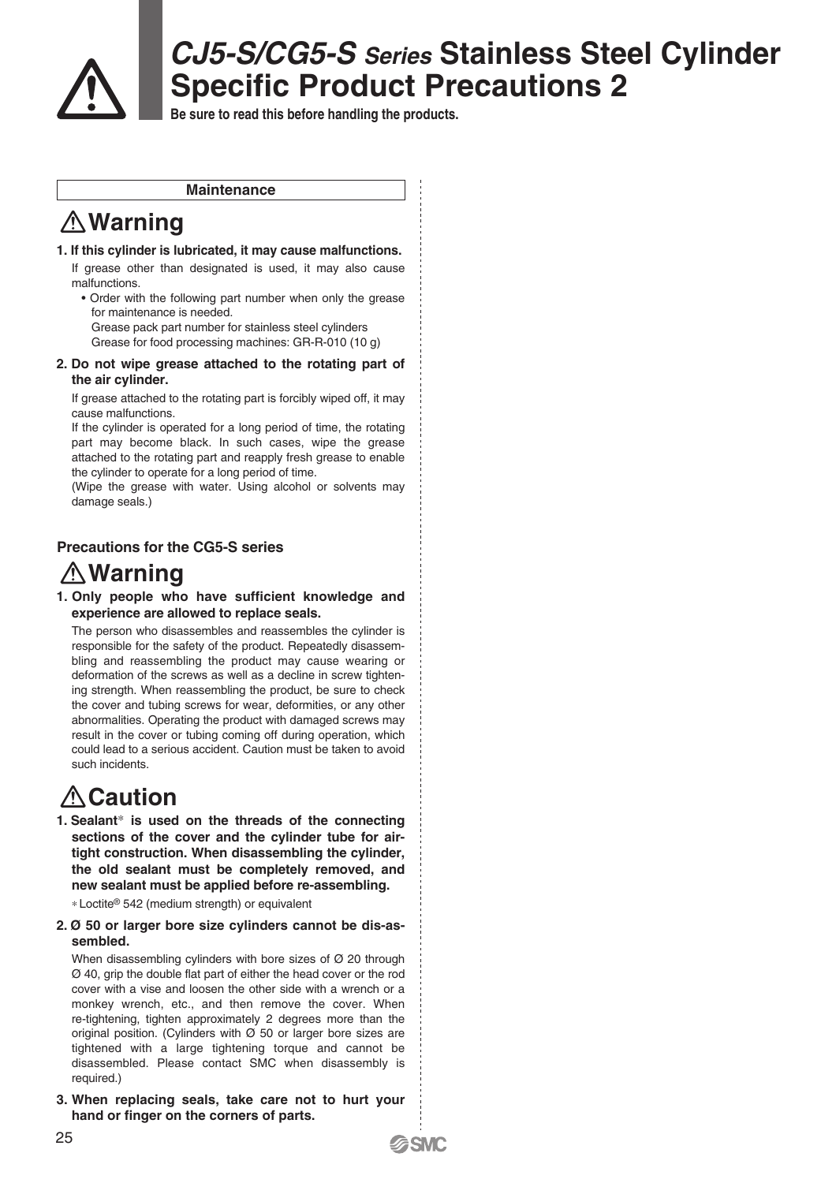

# *CJ5-S/CG5-S Series* **Stainless Steel Cylinder Specific Product Precautions 2**

**Be sure to read this before handling the products.**

#### **Maintenance**

# **Warning**

**1. If this cylinder is lubricated, it may cause malfunctions.**

If grease other than designated is used, it may also cause malfunctions.

• Order with the following part number when only the grease for maintenance is needed.

Grease pack part number for stainless steel cylinders Grease for food processing machines: GR-R-010 (10 g)

**2. Do not wipe grease attached to the rotating part of the air cylinder.**

If grease attached to the rotating part is forcibly wiped off, it may cause malfunctions.

If the cylinder is operated for a long period of time, the rotating part may become black. In such cases, wipe the grease attached to the rotating part and reapply fresh grease to enable the cylinder to operate for a long period of time.

(Wipe the grease with water. Using alcohol or solvents may damage seals.)

## **Warning Precautions for the CG5-S series**

**1. Only people who have sufficient knowledge and experience are allowed to replace seals.**

The person who disassembles and reassembles the cylinder is responsible for the safety of the product. Repeatedly disassembling and reassembling the product may cause wearing or deformation of the screws as well as a decline in screw tightening strength. When reassembling the product, be sure to check the cover and tubing screws for wear, deformities, or any other abnormalities. Operating the product with damaged screws may result in the cover or tubing coming off during operation, which could lead to a serious accident. Caution must be taken to avoid such incidents.

# **Caution**

**1. Sealant**∗ **is used on the threads of the connecting sections of the cover and the cylinder tube for airtight construction. When disassembling the cylinder, the old sealant must be completely removed, and new sealant must be applied before re-assembling.**

∗ Loctite® 542 (medium strength) or equivalent

**2. Ø 50 or larger bore size cylinders cannot be dis-assembled.**

When disassembling cylinders with bore sizes of Ø 20 through Ø 40, grip the double flat part of either the head cover or the rod cover with a vise and loosen the other side with a wrench or a monkey wrench, etc., and then remove the cover. When re-tightening, tighten approximately 2 degrees more than the original position. (Cylinders with  $\varnothing$  50 or larger bore sizes are tightened with a large tightening torque and cannot be disassembled. Please contact SMC when disassembly is required.)

**3. When replacing seals, take care not to hurt your hand or finger on the corners of parts.**

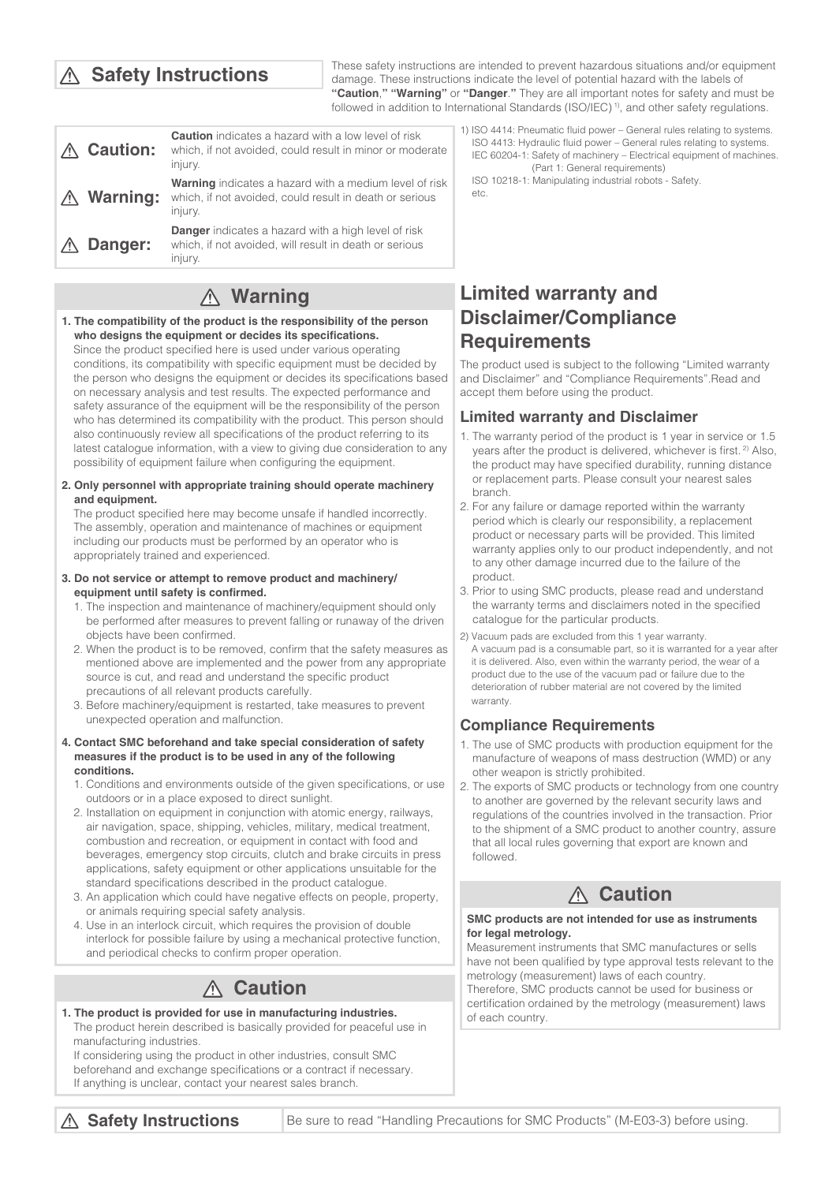## **Safety Instructions**

These safety instructions are intended to prevent hazardous situations and/or equipment damage. These instructions indicate the level of potential hazard with the labels of **"Caution**,**" "Warning"** or **"Danger**.**"** They are all important notes for safety and must be followed in addition to International Standards (ISO/IEC)<sup>1)</sup>, and other safety regulations.

| <b>Caution:</b> | <b>Caution</b> indicates a hazard with a low level of risk<br>which, if not avoided, could result in minor or moderate<br>injury.   |
|-----------------|-------------------------------------------------------------------------------------------------------------------------------------|
| <b>Warning:</b> | <b>Warning</b> indicates a hazard with a medium level of risk<br>which, if not avoided, could result in death or serious<br>injury. |
| Danger:         | <b>Danger</b> indicates a hazard with a high level of risk<br>which, if not avoided, will result in death or serious<br>injury.     |

## **Warning**

**1. The compatibility of the product is the responsibility of the person**  who designs the equipment or decides its specifications. Since the product specified here is used under various operating

conditions, its compatibility with specific equipment must be decided by the person who designs the equipment or decides its specifications based on necessary analysis and test results. The expected performance and safety assurance of the equipment will be the responsibility of the person who has determined its compatibility with the product. This person should also continuously review all specifications of the product referring to its latest catalogue information, with a view to giving due consideration to any possibility of equipment failure when configuring the equipment.

#### **2. Only personnel with appropriate training should operate machinery and equipment.**

The product specified here may become unsafe if handled incorrectly. The assembly, operation and maintenance of machines or equipment including our products must be performed by an operator who is appropriately trained and experienced.

- **3. Do not service or attempt to remove product and machinery/** equipment until safety is confirmed.
	- 1. The inspection and maintenance of machinery/equipment should only be performed after measures to prevent falling or runaway of the driven objects have been confirmed.
	- 2. When the product is to be removed, confirm that the safety measures as mentioned above are implemented and the power from any appropriate source is cut, and read and understand the specific product precautions of all relevant products carefully.
	- 3. Before machinery/equipment is restarted, take measures to prevent unexpected operation and malfunction.
- **4. Contact SMC beforehand and take special consideration of safety measures if the product is to be used in any of the following conditions.**
	- 1. Conditions and environments outside of the given specifications, or use outdoors or in a place exposed to direct sunlight.
	- 2. Installation on equipment in conjunction with atomic energy, railways, air navigation, space, shipping, vehicles, military, medical treatment, combustion and recreation, or equipment in contact with food and beverages, emergency stop circuits, clutch and brake circuits in press applications, safety equipment or other applications unsuitable for the standard specifications described in the product catalogue.
	- 3. An application which could have negative effects on people, property, or animals requiring special safety analysis.
	- 4. Use in an interlock circuit, which requires the provision of double interlock for possible failure by using a mechanical protective function, and periodical checks to confirm proper operation.

## **Caution**

**1. The product is provided for use in manufacturing industries.** The product herein described is basically provided for peaceful use in manufacturing industries.

If considering using the product in other industries, consult SMC beforehand and exchange specifications or a contract if necessary. If anything is unclear, contact your nearest sales branch.

1) ISO 4414: Pneumatic fluid power – General rules relating to systems. ISO 4413: Hydraulic fluid power – General rules relating to systems.

IEC 60204-1: Safety of machinery – Electrical equipment of machines. (Part 1: General requirements)

ISO 10218-1: Manipulating industrial robots - Safety. etc.

## **Limited warranty and Disclaimer/Compliance Requirements**

The product used is subject to the following "Limited warranty and Disclaimer" and "Compliance Requirements". Read and accept them before using the product.

#### **Limited warranty and Disclaimer**

- 1. The warranty period of the product is 1 year in service or 1.5 years after the product is delivered, whichever is first.<sup>2)</sup> Also, the product may have specified durability, running distance or replacement parts. Please consult your nearest sales branch.
- 2. For any failure or damage reported within the warranty period which is clearly our responsibility, a replacement product or necessary parts will be provided. This limited warranty applies only to our product independently, and not to any other damage incurred due to the failure of the product.
- 3. Prior to using SMC products, please read and understand the warranty terms and disclaimers noted in the specified catalogue for the particular products.
- 2) Vacuum pads are excluded from this 1 year warranty. A vacuum pad is a consumable part, so it is warranted for a year after it is delivered. Also, even within the warranty period, the wear of a product due to the use of the vacuum pad or failure due to the deterioration of rubber material are not covered by the limited warranty.

#### **Compliance Requirements**

- 1. The use of SMC products with production equipment for the manufacture of weapons of mass destruction (WMD) or any other weapon is strictly prohibited.
- 2. The exports of SMC products or technology from one country to another are governed by the relevant security laws and regulations of the countries involved in the transaction. Prior to the shipment of a SMC product to another country, assure that all local rules governing that export are known and followed.

## **Caution**

#### **SMC products are not intended for use as instruments for legal metrology.**

Measurement instruments that SMC manufactures or sells have not been qualified by type approval tests relevant to the metrology (measurement) laws of each country. Therefore, SMC products cannot be used for business or certification ordained by the metrology (measurement) laws

of each country.